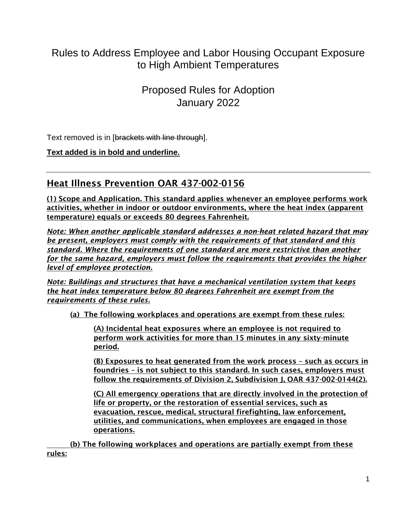# Rules to Address Employee and Labor Housing Occupant Exposure to High Ambient Temperatures

Proposed Rules for Adoption January 2022

Text removed is in [brackets with line through].

**Text added is in bold and underline.**

## Heat Illness Prevention OAR 437-002-0156

(1) Scope and Application. This standard applies whenever an employee performs work activities, whether in indoor or outdoor environments, where the heat index (apparent temperature) equals or exceeds 80 degrees Fahrenheit.

*Note: When another applicable standard addresses a non-heat related hazard that may be present, employers must comply with the requirements of that standard and this standard. Where the requirements of one standard are more restrictive than another for the same hazard, employers must follow the requirements that provides the higher level of employee protection.* 

*Note: Buildings and structures that have a mechanical ventilation system that keeps the heat index temperature below 80 degrees Fahrenheit are exempt from the requirements of these rules.*

(a) The following workplaces and operations are exempt from these rules:

(A) Incidental heat exposures where an employee is not required to perform work activities for more than 15 minutes in any sixty-minute period.

(B) Exposures to heat generated from the work process – such as occurs in foundries – is not subject to this standard. In such cases, employers must follow the requirements of Division 2, Subdivision J, OAR 437-002-0144(2).

(C) All emergency operations that are directly involved in the protection of life or property, or the restoration of essential services, such as evacuation, rescue, medical, structural firefighting, law enforcement, utilities, and communications, when employees are engaged in those operations.

(b) The following workplaces and operations are partially exempt from these rules: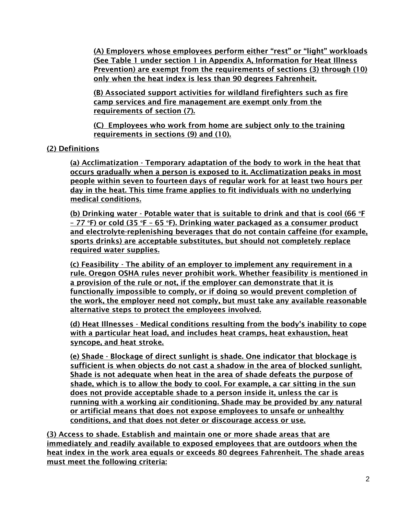(A) Employers whose employees perform either "rest" or "light" workloads (See Table 1 under section 1 in Appendix A, Information for Heat Illness Prevention) are exempt from the requirements of sections (3) through (10) only when the heat index is less than 90 degrees Fahrenheit.

(B) Associated support activities for wildland firefighters such as fire camp services and fire management are exempt only from the requirements of section (7).

(C) Employees who work from home are subject only to the training requirements in sections (9) and (10).

## (2) Definitions

(a) Acclimatization - Temporary adaptation of the body to work in the heat that occurs gradually when a person is exposed to it. Acclimatization peaks in most people within seven to fourteen days of regular work for at least two hours per day in the heat. This time frame applies to fit individuals with no underlying medical conditions.

(b) Drinking water - Potable water that is suitable to drink and that is cool (66  $\textdegree$ F) – 77 °F) or cold (35 °F – 65 °F). Drinking water packaged as a consumer product and electrolyte-replenishing beverages that do not contain caffeine (for example, sports drinks) are acceptable substitutes, but should not completely replace required water supplies.

(c) Feasibility - The ability of an employer to implement any requirement in a rule. Oregon OSHA rules never prohibit work. Whether feasibility is mentioned in a provision of the rule or not, if the employer can demonstrate that it is functionally impossible to comply, or if doing so would prevent completion of the work, the employer need not comply, but must take any available reasonable alternative steps to protect the employees involved.

(d) Heat Illnesses - Medical conditions resulting from the body's inability to cope with a particular heat load, and includes heat cramps, heat exhaustion, heat syncope, and heat stroke.

(e) Shade - Blockage of direct sunlight is shade. One indicator that blockage is sufficient is when objects do not cast a shadow in the area of blocked sunlight. Shade is not adequate when heat in the area of shade defeats the purpose of shade, which is to allow the body to cool. For example, a car sitting in the sun does not provide acceptable shade to a person inside it, unless the car is running with a working air conditioning. Shade may be provided by any natural or artificial means that does not expose employees to unsafe or unhealthy conditions, and that does not deter or discourage access or use.

(3) Access to shade. Establish and maintain one or more shade areas that are immediately and readily available to exposed employees that are outdoors when the heat index in the work area equals or exceeds 80 degrees Fahrenheit. The shade areas must meet the following criteria: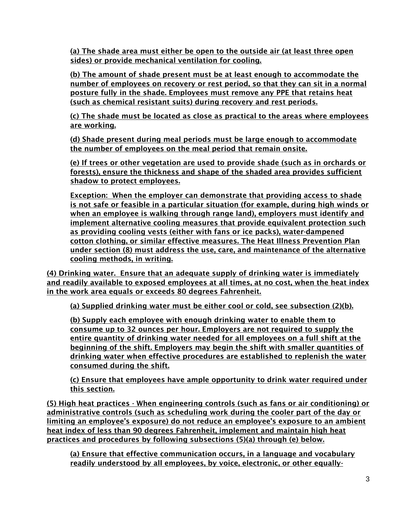(a) The shade area must either be open to the outside air (at least three open sides) or provide mechanical ventilation for cooling.

(b) The amount of shade present must be at least enough to accommodate the number of employees on recovery or rest period, so that they can sit in a normal posture fully in the shade. Employees must remove any PPE that retains heat (such as chemical resistant suits) during recovery and rest periods.

(c) The shade must be located as close as practical to the areas where employees are working.

(d) Shade present during meal periods must be large enough to accommodate the number of employees on the meal period that remain onsite.

(e) If trees or other vegetation are used to provide shade (such as in orchards or forests), ensure the thickness and shape of the shaded area provides sufficient shadow to protect employees.

Exception: When the employer can demonstrate that providing access to shade is not safe or feasible in a particular situation (for example, during high winds or when an employee is walking through range land), employers must identify and implement alternative cooling measures that provide equivalent protection such as providing cooling vests (either with fans or ice packs), water-dampened cotton clothing, or similar effective measures. The Heat Illness Prevention Plan under section (8) must address the use, care, and maintenance of the alternative cooling methods, in writing.

(4) Drinking water. Ensure that an adequate supply of drinking water is immediately and readily available to exposed employees at all times, at no cost, when the heat index in the work area equals or exceeds 80 degrees Fahrenheit.

(a) Supplied drinking water must be either cool or cold, see subsection (2)(b).

(b) Supply each employee with enough drinking water to enable them to consume up to 32 ounces per hour. Employers are not required to supply the entire quantity of drinking water needed for all employees on a full shift at the beginning of the shift. Employers may begin the shift with smaller quantities of drinking water when effective procedures are established to replenish the water consumed during the shift.

(c) Ensure that employees have ample opportunity to drink water required under this section.

(5) High heat practices - When engineering controls (such as fans or air conditioning) or administrative controls (such as scheduling work during the cooler part of the day or limiting an employee's exposure) do not reduce an employee's exposure to an ambient heat index of less than 90 degrees Fahrenheit, implement and maintain high heat practices and procedures by following subsections (5)(a) through (e) below.

(a) Ensure that effective communication occurs, in a language and vocabulary readily understood by all employees, by voice, electronic, or other equally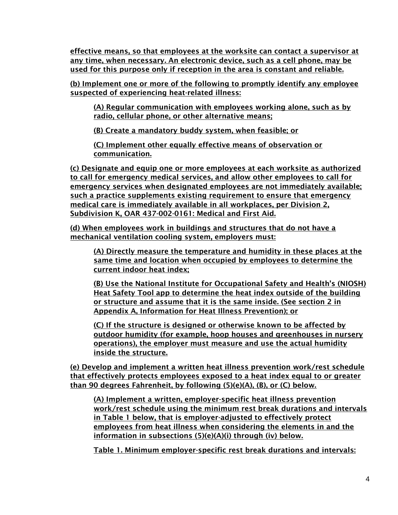effective means, so that employees at the worksite can contact a supervisor at any time, when necessary. An electronic device, such as a cell phone, may be used for this purpose only if reception in the area is constant and reliable.

(b) Implement one or more of the following to promptly identify any employee suspected of experiencing heat-related illness:

(A) Regular communication with employees working alone, such as by radio, cellular phone, or other alternative means;

(B) Create a mandatory buddy system, when feasible; or

(C) Implement other equally effective means of observation or communication.

(c) Designate and equip one or more employees at each worksite as authorized to call for emergency medical services, and allow other employees to call for emergency services when designated employees are not immediately available; such a practice supplements existing requirement to ensure that emergency medical care is immediately available in all workplaces, per Division 2, Subdivision K, OAR 437-002-0161: Medical and First Aid.

(d) When employees work in buildings and structures that do not have a mechanical ventilation cooling system, employers must:

(A) Directly measure the temperature and humidity in these places at the same time and location when occupied by employees to determine the current indoor heat index;

(B) Use the National Institute for Occupational Safety and Health's (NIOSH) Heat Safety Tool app to determine the heat index outside of the building or structure and assume that it is the same inside. (See section 2 in Appendix A, Information for Heat Illness Prevention); or

(C) If the structure is designed or otherwise known to be affected by outdoor humidity (for example, hoop houses and greenhouses in nursery operations), the employer must measure and use the actual humidity inside the structure.

(e) Develop and implement a written heat illness prevention work/rest schedule that effectively protects employees exposed to a heat index equal to or greater than 90 degrees Fahrenheit, by following (5)(e)(A), (B), or (C) below.

(A) Implement a written, employer-specific heat illness prevention work/rest schedule using the minimum rest break durations and intervals in Table 1 below, that is employer-adjusted to effectively protect employees from heat illness when considering the elements in and the information in subsections (5)(e)(A)(i) through (iv) below.

Table 1. Minimum employer-specific rest break durations and intervals: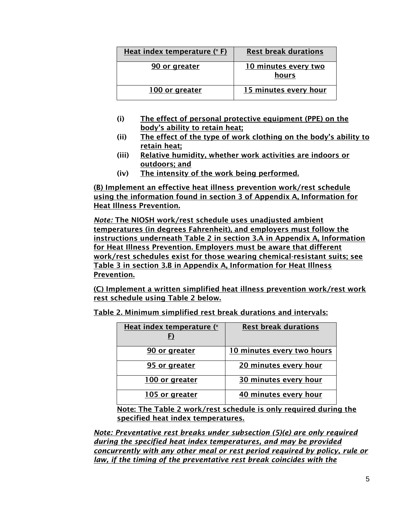| Heat index temperature (° F) | <b>Rest break durations</b>   |
|------------------------------|-------------------------------|
| 90 or greater                | 10 minutes every two<br>hours |
| 100 or greater               | 15 minutes every hour         |

- (i) The effect of personal protective equipment (PPE) on the body's ability to retain heat;
- (ii) The effect of the type of work clothing on the body's ability to retain heat;
- (iii) Relative humidity, whether work activities are indoors or outdoors; and
- (iv) The intensity of the work being performed.

(B) Implement an effective heat illness prevention work/rest schedule using the information found in section 3 of Appendix A, Information for Heat Illness Prevention.

*Note:* The NIOSH work/rest schedule uses unadjusted ambient temperatures (in degrees Fahrenheit), and employers must follow the instructions underneath Table 2 in section 3.A in Appendix A, Information for Heat Illness Prevention. Employers must be aware that different work/rest schedules exist for those wearing chemical-resistant suits; see Table 3 in section 3.B in Appendix A, Information for Heat Illness Prevention.

(C) Implement a written simplified heat illness prevention work/rest work rest schedule using Table 2 below.

Table 2. Minimum simplified rest break durations and intervals:

| Heat index temperature (° | <b>Rest break durations</b> |
|---------------------------|-----------------------------|
|                           |                             |
| 90 or greater             | 10 minutes every two hours  |
| 95 or greater             | 20 minutes every hour       |
| 100 or greater            | 30 minutes every hour       |
| 105 or greater            | 40 minutes every hour       |

Note: The Table 2 work/rest schedule is only required during the specified heat index temperatures.

*Note: Preventative rest breaks under subsection (5)(e) are only required during the specified heat index temperatures, and may be provided concurrently with any other meal or rest period required by policy, rule or law, if the timing of the preventative rest break coincides with the*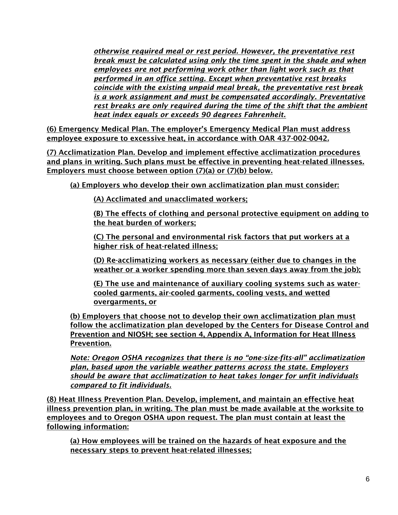*otherwise required meal or rest period. However, the preventative rest break must be calculated using only the time spent in the shade and when employees are not performing work other than light work such as that performed in an office setting. Except when preventative rest breaks coincide with the existing unpaid meal break, the preventative rest break is a work assignment and must be compensated accordingly. Preventative rest breaks are only required during the time of the shift that the ambient heat index equals or exceeds 90 degrees Fahrenheit.* 

(6) Emergency Medical Plan. The employer's Emergency Medical Plan must address employee exposure to excessive heat, in accordance with OAR 437-002-0042.

(7) Acclimatization Plan. Develop and implement effective acclimatization procedures and plans in writing. Such plans must be effective in preventing heat-related illnesses. Employers must choose between option (7)(a) or (7)(b) below.

(a) Employers who develop their own acclimatization plan must consider:

(A) Acclimated and unacclimated workers;

(B) The effects of clothing and personal protective equipment on adding to the heat burden of workers;

(C) The personal and environmental risk factors that put workers at a higher risk of heat-related illness;

(D) Re-acclimatizing workers as necessary (either due to changes in the weather or a worker spending more than seven days away from the job);

(E) The use and maintenance of auxiliary cooling systems such as watercooled garments, air-cooled garments, cooling vests, and wetted overgarments, or

(b) Employers that choose not to develop their own acclimatization plan must follow the acclimatization plan developed by the Centers for Disease Control and Prevention and NIOSH; see section 4, Appendix A, Information for Heat Illness Prevention.

*Note: Oregon OSHA recognizes that there is no "one-size-fits-all" acclimatization plan, based upon the variable weather patterns across the state. Employers should be aware that acclimatization to heat takes longer for unfit individuals compared to fit individuals.*

(8) Heat Illness Prevention Plan. Develop, implement, and maintain an effective heat illness prevention plan, in writing. The plan must be made available at the worksite to employees and to Oregon OSHA upon request. The plan must contain at least the following information:

(a) How employees will be trained on the hazards of heat exposure and the necessary steps to prevent heat-related illnesses;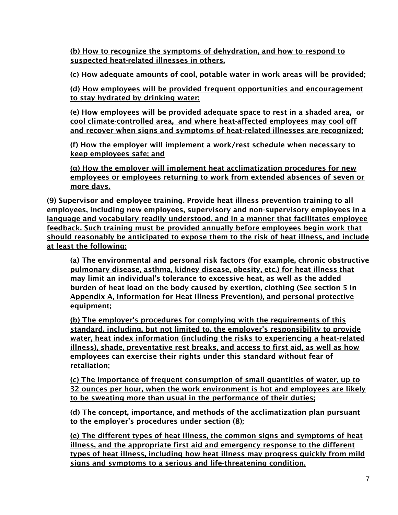(b) How to recognize the symptoms of dehydration, and how to respond to suspected heat-related illnesses in others.

(c) How adequate amounts of cool, potable water in work areas will be provided;

(d) How employees will be provided frequent opportunities and encouragement to stay hydrated by drinking water;

(e) How employees will be provided adequate space to rest in a shaded area, or cool climate-controlled area, and where heat-affected employees may cool off and recover when signs and symptoms of heat-related illnesses are recognized;

(f) How the employer will implement a work/rest schedule when necessary to keep employees safe; and

(g) How the employer will implement heat acclimatization procedures for new employees or employees returning to work from extended absences of seven or more days.

(9) Supervisor and employee training. Provide heat illness prevention training to all employees, including new employees, supervisory and non-supervisory employees in a language and vocabulary readily understood, and in a manner that facilitates employee feedback. Such training must be provided annually before employees begin work that should reasonably be anticipated to expose them to the risk of heat illness, and include at least the following:

(a) The environmental and personal risk factors (for example, chronic obstructive pulmonary disease, asthma, kidney disease, obesity, etc.) for heat illness that may limit an individual's tolerance to excessive heat, as well as the added burden of heat load on the body caused by exertion, clothing (See section 5 in Appendix A, Information for Heat Illness Prevention), and personal protective equipment;

(b) The employer's procedures for complying with the requirements of this standard, including, but not limited to, the employer's responsibility to provide water, heat index information (including the risks to experiencing a heat-related illness), shade, preventative rest breaks, and access to first aid, as well as how employees can exercise their rights under this standard without fear of retaliation;

(c) The importance of frequent consumption of small quantities of water, up to 32 ounces per hour, when the work environment is hot and employees are likely to be sweating more than usual in the performance of their duties;

(d) The concept, importance, and methods of the acclimatization plan pursuant to the employer's procedures under section (8);

(e) The different types of heat illness, the common signs and symptoms of heat illness, and the appropriate first aid and emergency response to the different types of heat illness, including how heat illness may progress quickly from mild signs and symptoms to a serious and life-threatening condition.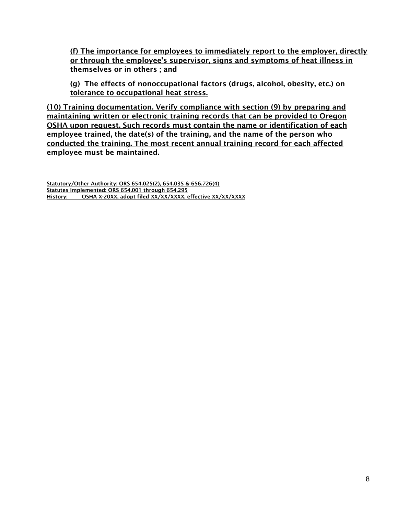(f) The importance for employees to immediately report to the employer, directly or through the employee's supervisor, signs and symptoms of heat illness in themselves or in others ; and

(g) The effects of nonoccupational factors (drugs, alcohol, obesity, etc.) on tolerance to occupational heat stress.

(10) Training documentation. Verify compliance with section (9) by preparing and maintaining written or electronic training records that can be provided to Oregon OSHA upon request. Such records must contain the name or identification of each employee trained, the date(s) of the training, and the name of the person who conducted the training. The most recent annual training record for each affected employee must be maintained.

Statutory/Other Authority: ORS 654.025(2), 654.035 & 656.726(4) Statutes Implemented: ORS 654.001 through 654.295 History: OSHA X-20XX, adopt filed XX/XX/XXXX, effective XX/XX/XXXX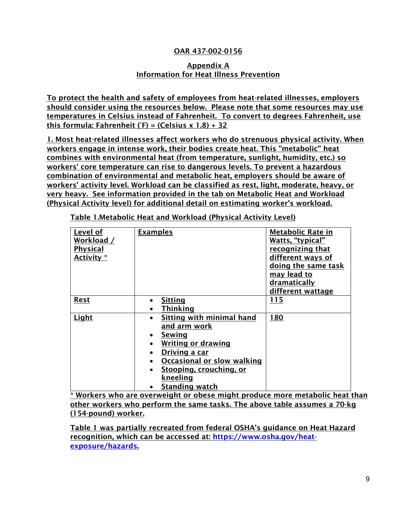### OAR 437-002-0156

#### Appendix A Information for Heat Illness Prevention

To protect the health and safety of employees from heat-related illnesses, employers should consider using the resources below. Please note that some resources may use temperatures in Celsius instead of Fahrenheit. To convert to degrees Fahrenheit, use this formula: Fahrenheit (°F) = (Celsius x 1.8) + 32

1. Most heat-related illnesses affect workers who do strenuous physical activity. When workers engage in intense work, their bodies create heat. This "metabolic" heat combines with environmental heat (from temperature, sunlight, humidity, etc.) so workers' core temperature can rise to dangerous levels. To prevent a hazardous combination of environmental and metabolic heat, employers should be aware of workers' activity level. Workload can be classified as rest, light, moderate, heavy, or very heavy. See information provided in the tab on Metabolic Heat and Workload (Physical Activity level) for additional detail on estimating worker's workload.

| Level of<br>Workload /<br><b>Physical</b><br>Activity * | <b>Examples</b>                        | <b>Metabolic Rate in</b><br>Watts, "typical"<br>recognizing that<br>different ways of<br>doing the same task |
|---------------------------------------------------------|----------------------------------------|--------------------------------------------------------------------------------------------------------------|
|                                                         |                                        | may lead to                                                                                                  |
|                                                         |                                        | dramatically                                                                                                 |
|                                                         |                                        | different wattage                                                                                            |
| <b>Rest</b>                                             | <b>Sitting</b>                         | 115                                                                                                          |
|                                                         | <b>Thinking</b>                        |                                                                                                              |
| Light                                                   | Sitting with minimal hand              | 180                                                                                                          |
|                                                         | and arm work                           |                                                                                                              |
|                                                         | Sewing<br>$\bullet$                    |                                                                                                              |
|                                                         | <b>Writing or drawing</b><br>$\bullet$ |                                                                                                              |
|                                                         | Driving a car<br>$\bullet$             |                                                                                                              |
|                                                         | Occasional or slow walking             |                                                                                                              |
|                                                         | Stooping, crouching, or<br>$\bullet$   |                                                                                                              |
|                                                         | kneeling                               |                                                                                                              |
|                                                         | <b>Standing watch</b>                  |                                                                                                              |

Table 1.Metabolic Heat and Workload (Physical Activity Level)

\* Workers who are overweight or obese might produce more metabolic heat than other workers who perform the same tasks. The above table assumes a 70-kg (154-pound) worker.

Table 1 was partially recreated from federal OSHA's guidance on Heat Hazard recognition, which can be accessed at: [https://www.osha.gov/heat](https://www.osha.gov/heat-exposure/hazards)[exposure/hazards.](https://www.osha.gov/heat-exposure/hazards)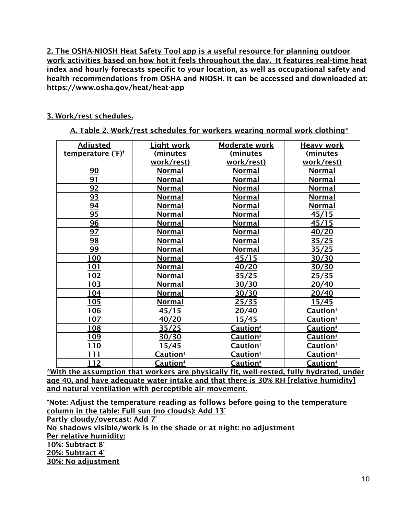2. The OSHA-NIOSH Heat Safety Tool app is a useful resource for planning outdoor work activities based on how hot it feels throughout the day. It features real-time heat index and hourly forecasts specific to your location, as well as occupational safety and health recommendations from OSHA and NIOSH. It can be accessed and downloaded at: https://www.osha.gov/heat/heat-app

#### 3. Work/rest schedules.

A. Table 2. Work/rest schedules for workers wearing normal work clothing\*

| <b>Adjusted</b>               | <b>Light work</b>    | Moderate work        | <b>Heavy work</b>    |
|-------------------------------|----------------------|----------------------|----------------------|
| temperature (°F) <sup>†</sup> | (minutes             | <u>(minutes</u>      | <u>(minutes</u>      |
|                               | work/rest)           | work/rest)           | work/rest)           |
| 90                            | Normal               | <b>Normal</b>        | <b>Normal</b>        |
| 91                            | <b>Normal</b>        | <b>Normal</b>        | <b>Normal</b>        |
| 92                            | Normal               | Normal               | <b>Normal</b>        |
| 93                            | Normal               | <b>Normal</b>        | <b>Normal</b>        |
| 94                            | Normal               | <b>Normal</b>        | <b>Normal</b>        |
| 95                            | <u>Normal</u>        | <b>Normal</b>        | 45/15                |
| 96                            | <u>Normal</u>        | <u>Normal</u>        | 45/15                |
| 97                            | <b>Normal</b>        | <b>Normal</b>        | 40/20                |
| 98                            | <b>Normal</b>        | <b>Normal</b>        | 35/25                |
| 99                            | Normal               | Normal               | <u>35/25</u>         |
| 100                           | Normal               | 45/15                | 30/30                |
| 101                           | Normal               | 40/20                | 30/30                |
| 102                           | Normal               | 35/25                | 25/35                |
| 103                           | <b>Normal</b>        | 30/30                | 20/40                |
| 104                           | <b>Normal</b>        | 30/30                | 20/40                |
| 105                           | <b>Normal</b>        | 25/35                | 15/45                |
| 106                           | 45/15                | 20/40                | Caution <sup>#</sup> |
| 107                           | 40/20                | 15/45                | Caution <sup>#</sup> |
| 108                           | 35/25                | Caution <sup>#</sup> | Caution <sup>#</sup> |
| 109                           | 30/30                | Caution <sup>#</sup> | Caution <sup>#</sup> |
| 110                           | 15/45                | Caution <sup>#</sup> | Caution <sup>*</sup> |
| 111                           | Caution <sup>‡</sup> | Caution <sup>#</sup> | Caution <sup>*</sup> |
| <u>112</u>                    | Caution <sup>#</sup> | Caution <sup>#</sup> | Caution <sup>*</sup> |

\*With the assumption that workers are physically fit, well-rested, fully hydrated, under age 40, and have adequate water intake and that there is 30% RH [relative humidity] and natural ventilation with perceptible air movement.

†Note: Adjust the temperature reading as follows before going to the temperature column in the table: Full sun (no clouds): Add 13° Partly cloudy/overcast: Add 7° No shadows visible/work is in the shade or at night: no adjustment Per relative humidity: 10%: Subtract 8° 20%: Subtract 4° 30%: No adjustment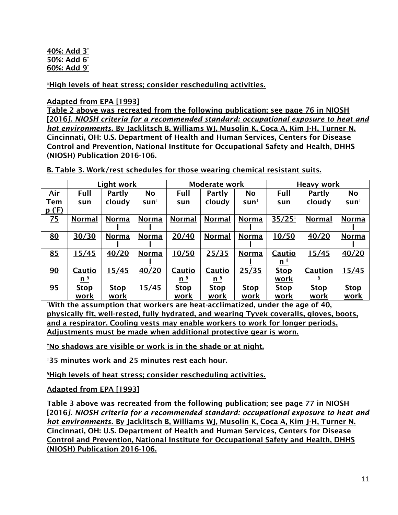#### 40%: Add 3° 50%: Add 6° 60%: Add 9°

‡High levels of heat stress; consider rescheduling activities.

### Adapted from EPA [1993]

Table 2 above was recreated from the following publication; see page 76 in NIOSH [2016*]. NIOSH criteria for a recommended standard: occupational exposure to heat and hot environments.* By Jacklitsch B, Williams WJ, Musolin K, Coca A, Kim J-H, Turner N. Cincinnati, OH: U.S. Department of Health and Human Services, Centers for Disease Control and Prevention, National Institute for Occupational Safety and Health, DHHS (NIOSH) Publication 2016-106.

B. Table 3. Work/rest schedules for those wearing chemical resistant suits.

|                 |                | Light work    |              | <b>Moderate work</b> |                | <b>Heavy work</b> |             |               |              |
|-----------------|----------------|---------------|--------------|----------------------|----------------|-------------------|-------------|---------------|--------------|
| Air             | Full           | <b>Partly</b> | No           | Full                 | <b>Partly</b>  | No                | Full        | <b>Partly</b> | No           |
| <b>Tem</b>      | sun            | <u>cloudy</u> | <u>sun†</u>  | <u>sun</u>           | <u>cloudy</u>  | <u>sun†</u>       | sun         | <u>cloudy</u> | <u>sun†</u>  |
| p(F)            |                |               |              |                      |                |                   |             |               |              |
| $\overline{25}$ | <b>Normal</b>  | <b>Norma</b>  | <b>Norma</b> | <b>Normal</b>        | <b>Normal</b>  | <b>Norma</b>      | $35/25*$    | <b>Normal</b> | <b>Norma</b> |
|                 |                |               |              |                      |                |                   |             |               |              |
| 80              | 30/30          | <b>Norma</b>  | <b>Norma</b> | 20/40                | <b>Normal</b>  | <b>Norma</b>      | 10/50       | 40/20         | <b>Norma</b> |
|                 |                |               |              |                      |                |                   |             |               |              |
| 85              | 15/45          | 40/20         | <b>Norma</b> | 10/50                | 25/35          | <b>Norma</b>      | Cautio      | 15/45         | 40/20        |
|                 |                |               |              |                      |                |                   | n s         |               |              |
| 90              | Cautio         | 15/45         | 40/20        | Cautio               | Cautio         | 25/35             | <u>Stop</u> | Caution       | 15/45        |
|                 | n <sup>s</sup> |               |              | n                    | n <sup>s</sup> |                   | work        |               |              |
| 95              | <b>Stop</b>    | <b>Stop</b>   | 5/45         | <b>Stop</b>          | <b>Stop</b>    | <b>Stop</b>       | <u>Stop</u> | <b>Stop</b>   | <b>Stop</b>  |
|                 | work           | work          |              | work                 | work           | work              | work        | work          | work         |

\*With the assumption that workers are heat-acclimatized, under the age of 40, physically fit, well-rested, fully hydrated, and wearing Tyvek coveralls, gloves, boots, and a respirator. Cooling vests may enable workers to work for longer periods. Adjustments must be made when additional protective gear is worn.

†No shadows are visible or work is in the shade or at night.

‡35 minutes work and 25 minutes rest each hour.

§High levels of heat stress; consider rescheduling activities.

Adapted from EPA [1993]

Table 3 above was recreated from the following publication; see page 77 in NIOSH [2016*]. NIOSH criteria for a recommended standard: occupational exposure to heat and hot environments.* By Jacklitsch B, Williams WJ, Musolin K, Coca A, Kim J-H, Turner N. Cincinnati, OH: U.S. Department of Health and Human Services, Centers for Disease Control and Prevention, National Institute for Occupational Safety and Health, DHHS (NIOSH) Publication 2016-106.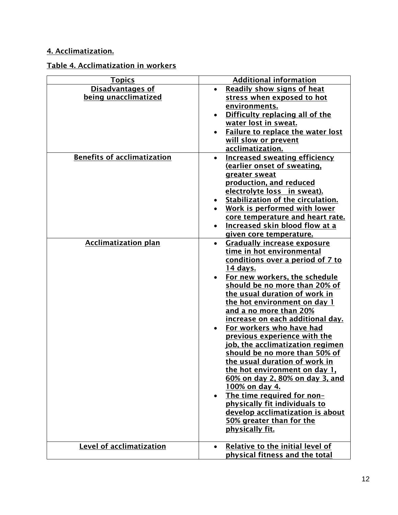## 4. Acclimatization.

## Table 4. Acclimatization in workers

| <b>Topics</b>                      | <b>Additional information</b>                   |
|------------------------------------|-------------------------------------------------|
| <b>Disadvantages of</b>            | <b>Readily show signs of heat</b>               |
| being unacclimatized               | stress when exposed to hot                      |
|                                    | environments.                                   |
|                                    | Difficulty replacing all of the                 |
|                                    | water lost in sweat.                            |
|                                    | <b>Failure to replace the water lost</b>        |
|                                    | will slow or prevent                            |
|                                    | acclimatization.                                |
| <b>Benefits of acclimatization</b> | <b>Increased sweating efficiency</b>            |
|                                    | (earlier onset of sweating,                     |
|                                    |                                                 |
|                                    | greater sweat                                   |
|                                    | production, and reduced                         |
|                                    | electrolyte loss in sweat).                     |
|                                    | Stabilization of the circulation.<br>$\bullet$  |
|                                    | Work is performed with lower                    |
|                                    | core temperature and heart rate.                |
|                                    | <b>Increased skin blood flow at a</b>           |
|                                    | given core temperature.                         |
| <b>Acclimatization plan</b>        | <b>Gradually increase exposure</b><br>$\bullet$ |
|                                    | time in hot environmental                       |
|                                    | conditions over a period of 7 to                |
|                                    | <u>14 days.</u>                                 |
|                                    | For new workers, the schedule                   |
|                                    | should be no more than 20% of                   |
|                                    | the usual duration of work in                   |
|                                    | the hot environment on day 1                    |
|                                    | and a no more than 20%                          |
|                                    | <u>increase on each additional day.</u>         |
|                                    | For workers who have had                        |
|                                    | previous experience with the                    |
|                                    | job, the acclimatization regimen                |
|                                    | should be no more than 50% of                   |
|                                    | the usual duration of work in                   |
|                                    | the hot environment on day 1,                   |
|                                    | 60% on day 2, 80% on day 3, and                 |
|                                    | <u>100% on day 4.</u>                           |
|                                    | The time required for non-                      |
|                                    | physically fit individuals to                   |
|                                    | develop acclimatization is about                |
|                                    | 50% greater than for the                        |
|                                    | physically fit.                                 |
|                                    |                                                 |
| Level of acclimatization           | Relative to the initial level of<br>$\bullet$   |
|                                    | physical fitness and the total                  |
|                                    |                                                 |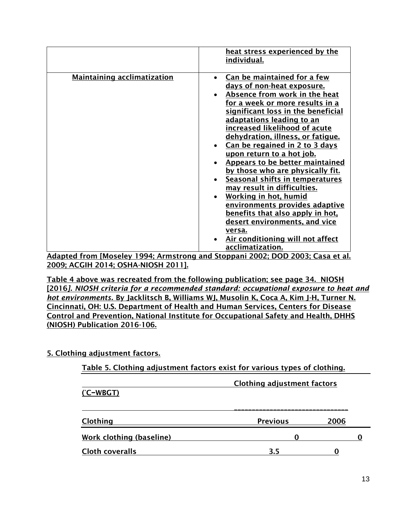|                                                            | heat stress experienced by the<br>individual.                                                                                                                                                                                                                                                                                                                                                                                                                                                                                                                                                                                                                                    |
|------------------------------------------------------------|----------------------------------------------------------------------------------------------------------------------------------------------------------------------------------------------------------------------------------------------------------------------------------------------------------------------------------------------------------------------------------------------------------------------------------------------------------------------------------------------------------------------------------------------------------------------------------------------------------------------------------------------------------------------------------|
| <b>Maintaining acclimatization</b>                         | Can be maintained for a few<br>days of non-heat exposure.<br>Absence from work in the heat<br>for a week or more results in a<br>significant loss in the beneficial<br>adaptations leading to an<br>increased likelihood of acute<br>dehydration, illness, or fatique.<br>Can be regained in 2 to 3 days<br>upon return to a hot job.<br>Appears to be better maintained<br>by those who are physically fit.<br>Seasonal shifts in temperatures<br>may result in difficulties.<br>Working in hot, humid<br>environments provides adaptive<br>benefits that also apply in hot,<br>desert environments, and vice<br>versa.<br>Air conditioning will not affect<br>acclimatization. |
| $\mathbf{r}$<br><b>FA 4</b><br>$\sim$ $\sim$ $\sim$ $\sim$ | .<br>$\frac{1}{2}$                                                                                                                                                                                                                                                                                                                                                                                                                                                                                                                                                                                                                                                               |

Adapted from [Moseley 1994; Armstrong and Stoppani 2002; DOD 2003; Casa et al. 2009; ACGIH 2014; OSHA-NIOSH 2011].

Table 4 above was recreated from the following publication; see page 34. NIOSH [2016*]. NIOSH criteria for a recommended standard: occupational exposure to heat and hot environments.* By Jacklitsch B, Williams WJ, Musolin K, Coca A, Kim J-H, Turner N. Cincinnati, OH: U.S. Department of Health and Human Services, Centers for Disease Control and Prevention, National Institute for Occupational Safety and Health, DHHS (NIOSH) Publication 2016-106.

### 5. Clothing adjustment factors.

| Table 5. Clothing adjustment factors exist for various types of clothing. |                 |      |  |  |
|---------------------------------------------------------------------------|-----------------|------|--|--|
| <b>Clothing adjustment factors</b>                                        |                 |      |  |  |
| $(C-WBGT)$                                                                |                 |      |  |  |
|                                                                           |                 |      |  |  |
| Clothing                                                                  | <b>Previous</b> | 2006 |  |  |
| Work clothing (baseline)                                                  | O               |      |  |  |
| <b>Cloth coveralls</b>                                                    | 3.5             |      |  |  |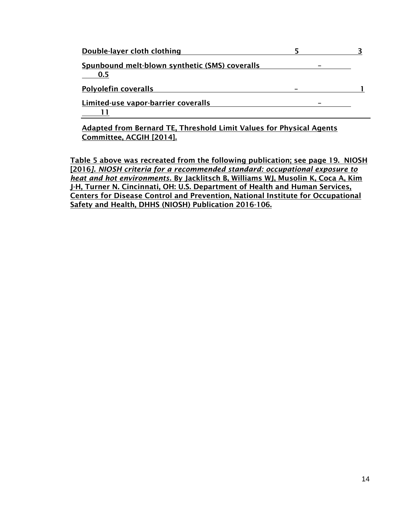| Double-layer cloth clothing                                          |  |
|----------------------------------------------------------------------|--|
| Spunbound melt-blown synthetic (SMS) coveralls<br>0.5                |  |
| <b>Polyolefin coveralls</b>                                          |  |
| Limited-use vapor-barrier coveralls                                  |  |
| Adopted from Devenuel TE, Threshold Limit Voluge for Dhysical Agonta |  |

Adapted from Bernard TE, Threshold Limit Values for Physical Agents Committee, ACGIH [2014].

Table 5 above was recreated from the following publication; see page 19. NIOSH [2016*]. NIOSH criteria for a recommended standard: occupational exposure to heat and hot environments.* By Jacklitsch B, Williams WJ, Musolin K, Coca A, Kim J-H, Turner N. Cincinnati, OH: U.S. Department of Health and Human Services, Centers for Disease Control and Prevention, National Institute for Occupational Safety and Health, DHHS (NIOSH) Publication 2016-106.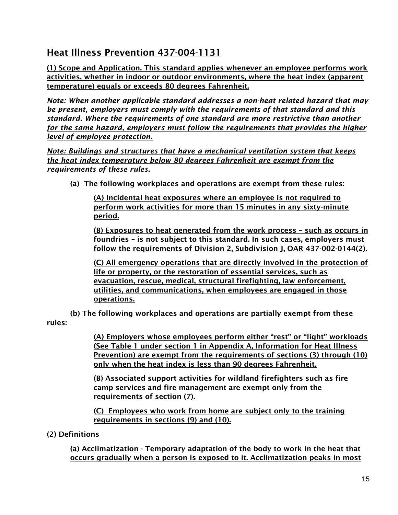## Heat Illness Prevention 437-004-1131

(1) Scope and Application. This standard applies whenever an employee performs work activities, whether in indoor or outdoor environments, where the heat index (apparent temperature) equals or exceeds 80 degrees Fahrenheit.

*Note: When another applicable standard addresses a non-heat related hazard that may be present, employers must comply with the requirements of that standard and this standard. Where the requirements of one standard are more restrictive than another for the same hazard, employers must follow the requirements that provides the higher level of employee protection.* 

*Note: Buildings and structures that have a mechanical ventilation system that keeps the heat index temperature below 80 degrees Fahrenheit are exempt from the requirements of these rules.*

(a) The following workplaces and operations are exempt from these rules:

(A) Incidental heat exposures where an employee is not required to perform work activities for more than 15 minutes in any sixty-minute period.

(B) Exposures to heat generated from the work process – such as occurs in foundries – is not subject to this standard. In such cases, employers must follow the requirements of Division 2, Subdivision J, OAR 437-002-0144(2).

(C) All emergency operations that are directly involved in the protection of life or property, or the restoration of essential services, such as evacuation, rescue, medical, structural firefighting, law enforcement, utilities, and communications, when employees are engaged in those operations.

(b) The following workplaces and operations are partially exempt from these rules:

> (A) Employers whose employees perform either "rest" or "light" workloads (See Table 1 under section 1 in Appendix A, Information for Heat Illness Prevention) are exempt from the requirements of sections (3) through (10) only when the heat index is less than 90 degrees Fahrenheit.

(B) Associated support activities for wildland firefighters such as fire camp services and fire management are exempt only from the requirements of section (7).

(C) Employees who work from home are subject only to the training requirements in sections (9) and (10).

### (2) Definitions

(a) Acclimatization - Temporary adaptation of the body to work in the heat that occurs gradually when a person is exposed to it. Acclimatization peaks in most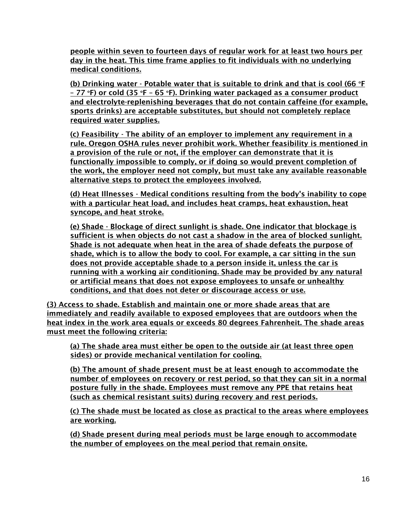people within seven to fourteen days of regular work for at least two hours per day in the heat. This time frame applies to fit individuals with no underlying medical conditions.

(b) Drinking water - Potable water that is suitable to drink and that is cool (66  $\degree$ F – 77 °F) or cold (35 °F – 65 °F). Drinking water packaged as a consumer product and electrolyte-replenishing beverages that do not contain caffeine (for example, sports drinks) are acceptable substitutes, but should not completely replace required water supplies.

(c) Feasibility - The ability of an employer to implement any requirement in a rule. Oregon OSHA rules never prohibit work. Whether feasibility is mentioned in a provision of the rule or not, if the employer can demonstrate that it is functionally impossible to comply, or if doing so would prevent completion of the work, the employer need not comply, but must take any available reasonable alternative steps to protect the employees involved.

(d) Heat Illnesses - Medical conditions resulting from the body's inability to cope with a particular heat load, and includes heat cramps, heat exhaustion, heat syncope, and heat stroke.

(e) Shade - Blockage of direct sunlight is shade. One indicator that blockage is sufficient is when objects do not cast a shadow in the area of blocked sunlight. Shade is not adequate when heat in the area of shade defeats the purpose of shade, which is to allow the body to cool. For example, a car sitting in the sun does not provide acceptable shade to a person inside it, unless the car is running with a working air conditioning. Shade may be provided by any natural or artificial means that does not expose employees to unsafe or unhealthy conditions, and that does not deter or discourage access or use.

(3) Access to shade. Establish and maintain one or more shade areas that are immediately and readily available to exposed employees that are outdoors when the heat index in the work area equals or exceeds 80 degrees Fahrenheit. The shade areas must meet the following criteria:

(a) The shade area must either be open to the outside air (at least three open sides) or provide mechanical ventilation for cooling.

(b) The amount of shade present must be at least enough to accommodate the number of employees on recovery or rest period, so that they can sit in a normal posture fully in the shade. Employees must remove any PPE that retains heat (such as chemical resistant suits) during recovery and rest periods.

(c) The shade must be located as close as practical to the areas where employees are working.

(d) Shade present during meal periods must be large enough to accommodate the number of employees on the meal period that remain onsite.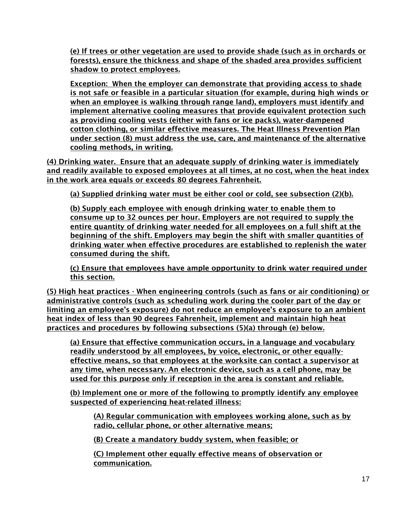(e) If trees or other vegetation are used to provide shade (such as in orchards or forests), ensure the thickness and shape of the shaded area provides sufficient shadow to protect employees.

Exception: When the employer can demonstrate that providing access to shade is not safe or feasible in a particular situation (for example, during high winds or when an employee is walking through range land), employers must identify and implement alternative cooling measures that provide equivalent protection such as providing cooling vests (either with fans or ice packs), water-dampened cotton clothing, or similar effective measures. The Heat Illness Prevention Plan under section (8) must address the use, care, and maintenance of the alternative cooling methods, in writing.

(4) Drinking water. Ensure that an adequate supply of drinking water is immediately and readily available to exposed employees at all times, at no cost, when the heat index in the work area equals or exceeds 80 degrees Fahrenheit.

(a) Supplied drinking water must be either cool or cold, see subsection (2)(b).

(b) Supply each employee with enough drinking water to enable them to consume up to 32 ounces per hour. Employers are not required to supply the entire quantity of drinking water needed for all employees on a full shift at the beginning of the shift. Employers may begin the shift with smaller quantities of drinking water when effective procedures are established to replenish the water consumed during the shift.

(c) Ensure that employees have ample opportunity to drink water required under this section.

(5) High heat practices - When engineering controls (such as fans or air conditioning) or administrative controls (such as scheduling work during the cooler part of the day or limiting an employee's exposure) do not reduce an employee's exposure to an ambient heat index of less than 90 degrees Fahrenheit, implement and maintain high heat practices and procedures by following subsections (5)(a) through (e) below.

(a) Ensure that effective communication occurs, in a language and vocabulary readily understood by all employees, by voice, electronic, or other equallyeffective means, so that employees at the worksite can contact a supervisor at any time, when necessary. An electronic device, such as a cell phone, may be used for this purpose only if reception in the area is constant and reliable.

(b) Implement one or more of the following to promptly identify any employee suspected of experiencing heat-related illness:

(A) Regular communication with employees working alone, such as by radio, cellular phone, or other alternative means;

(B) Create a mandatory buddy system, when feasible; or

(C) Implement other equally effective means of observation or communication.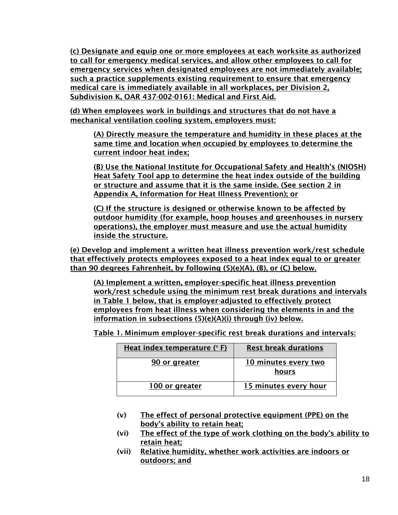(c) Designate and equip one or more employees at each worksite as authorized to call for emergency medical services, and allow other employees to call for emergency services when designated employees are not immediately available; such a practice supplements existing requirement to ensure that emergency medical care is immediately available in all workplaces, per Division 2, Subdivision K, OAR 437-002-0161: Medical and First Aid.

(d) When employees work in buildings and structures that do not have a mechanical ventilation cooling system, employers must:

(A) Directly measure the temperature and humidity in these places at the same time and location when occupied by employees to determine the current indoor heat index;

(B) Use the National Institute for Occupational Safety and Health's (NIOSH) Heat Safety Tool app to determine the heat index outside of the building or structure and assume that it is the same inside. (See section 2 in Appendix A, Information for Heat Illness Prevention); or

(C) If the structure is designed or otherwise known to be affected by outdoor humidity (for example, hoop houses and greenhouses in nursery operations), the employer must measure and use the actual humidity inside the structure.

(e) Develop and implement a written heat illness prevention work/rest schedule that effectively protects employees exposed to a heat index equal to or greater than 90 degrees Fahrenheit, by following (5)(e)(A), (B), or (C) below.

(A) Implement a written, employer-specific heat illness prevention work/rest schedule using the minimum rest break durations and intervals in Table 1 below, that is employer-adjusted to effectively protect employees from heat illness when considering the elements in and the information in subsections (5)(e)(A)(i) through (iv) below.

Table 1. Minimum employer-specific rest break durations and intervals:

| Heat index temperature $(° F)$ | <b>Rest break durations</b>   |
|--------------------------------|-------------------------------|
| 90 or greater                  | 10 minutes every two<br>hours |
| 100 or greater                 | 15 minutes every hour         |

- (v) The effect of personal protective equipment (PPE) on the body's ability to retain heat;
- (vi) The effect of the type of work clothing on the body's ability to retain heat;
- (vii) Relative humidity, whether work activities are indoors or outdoors; and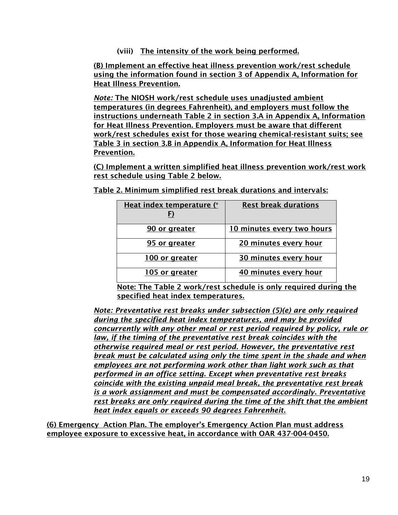(viii) The intensity of the work being performed.

(B) Implement an effective heat illness prevention work/rest schedule using the information found in section 3 of Appendix A, Information for Heat Illness Prevention.

*Note:* The NIOSH work/rest schedule uses unadjusted ambient temperatures (in degrees Fahrenheit), and employers must follow the instructions underneath Table 2 in section 3.A in Appendix A, Information for Heat Illness Prevention. Employers must be aware that different work/rest schedules exist for those wearing chemical-resistant suits; see Table 3 in section 3.B in Appendix A, Information for Heat Illness Prevention.

(C) Implement a written simplified heat illness prevention work/rest work rest schedule using Table 2 below.

Table 2. Minimum simplified rest break durations and intervals:

| Heat index temperature (°<br>F) | <b>Rest break durations</b> |
|---------------------------------|-----------------------------|
| 90 or greater                   | 10 minutes every two hours  |
| 95 or greater                   | 20 minutes every hour       |
| 100 or greater                  | 30 minutes every hour       |
| 105 or greater                  | 40 minutes every hour       |

Note: The Table 2 work/rest schedule is only required during the specified heat index temperatures.

*Note: Preventative rest breaks under subsection (5)(e) are only required during the specified heat index temperatures, and may be provided concurrently with any other meal or rest period required by policy, rule or law, if the timing of the preventative rest break coincides with the otherwise required meal or rest period. However, the preventative rest break must be calculated using only the time spent in the shade and when employees are not performing work other than light work such as that performed in an office setting. Except when preventative rest breaks coincide with the existing unpaid meal break, the preventative rest break is a work assignment and must be compensated accordingly. Preventative rest breaks are only required during the time of the shift that the ambient heat index equals or exceeds 90 degrees Fahrenheit.* 

(6) Emergency Action Plan. The employer's Emergency Action Plan must address employee exposure to excessive heat, in accordance with OAR 437-004-0450.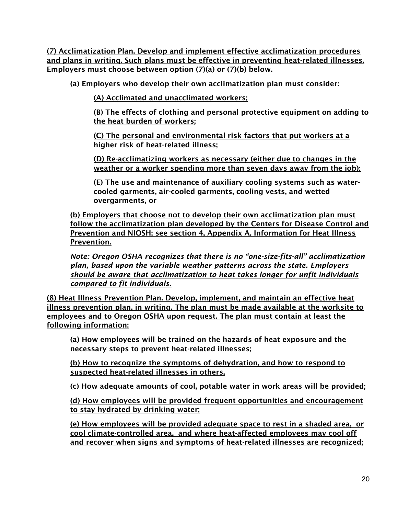(7) Acclimatization Plan. Develop and implement effective acclimatization procedures and plans in writing. Such plans must be effective in preventing heat-related illnesses. Employers must choose between option (7)(a) or (7)(b) below.

(a) Employers who develop their own acclimatization plan must consider:

(A) Acclimated and unacclimated workers;

(B) The effects of clothing and personal protective equipment on adding to the heat burden of workers;

(C) The personal and environmental risk factors that put workers at a higher risk of heat-related illness;

(D) Re-acclimatizing workers as necessary (either due to changes in the weather or a worker spending more than seven days away from the job);

(E) The use and maintenance of auxiliary cooling systems such as watercooled garments, air-cooled garments, cooling vests, and wetted overgarments, or

(b) Employers that choose not to develop their own acclimatization plan must follow the acclimatization plan developed by the Centers for Disease Control and Prevention and NIOSH; see section 4, Appendix A, Information for Heat Illness Prevention.

*Note: Oregon OSHA recognizes that there is no "one-size-fits-all" acclimatization plan, based upon the variable weather patterns across the state. Employers should be aware that acclimatization to heat takes longer for unfit individuals compared to fit individuals.*

(8) Heat Illness Prevention Plan. Develop, implement, and maintain an effective heat illness prevention plan, in writing. The plan must be made available at the worksite to employees and to Oregon OSHA upon request. The plan must contain at least the following information:

(a) How employees will be trained on the hazards of heat exposure and the necessary steps to prevent heat-related illnesses;

(b) How to recognize the symptoms of dehydration, and how to respond to suspected heat-related illnesses in others.

(c) How adequate amounts of cool, potable water in work areas will be provided;

(d) How employees will be provided frequent opportunities and encouragement to stay hydrated by drinking water;

(e) How employees will be provided adequate space to rest in a shaded area, or cool climate-controlled area, and where heat-affected employees may cool off and recover when signs and symptoms of heat-related illnesses are recognized;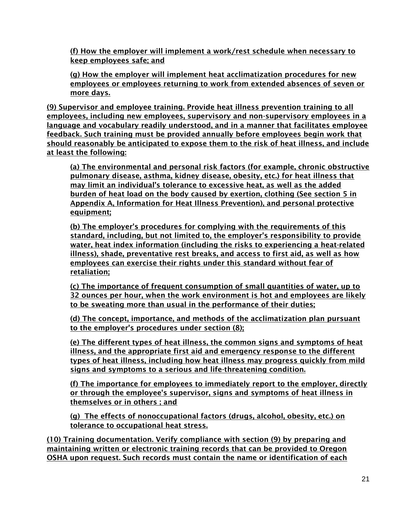(f) How the employer will implement a work/rest schedule when necessary to keep employees safe; and

(g) How the employer will implement heat acclimatization procedures for new employees or employees returning to work from extended absences of seven or more days.

(9) Supervisor and employee training. Provide heat illness prevention training to all employees, including new employees, supervisory and non-supervisory employees in a language and vocabulary readily understood, and in a manner that facilitates employee feedback. Such training must be provided annually before employees begin work that should reasonably be anticipated to expose them to the risk of heat illness, and include at least the following:

(a) The environmental and personal risk factors (for example, chronic obstructive pulmonary disease, asthma, kidney disease, obesity, etc.) for heat illness that may limit an individual's tolerance to excessive heat, as well as the added burden of heat load on the body caused by exertion, clothing (See section 5 in Appendix A, Information for Heat Illness Prevention), and personal protective equipment;

(b) The employer's procedures for complying with the requirements of this standard, including, but not limited to, the employer's responsibility to provide water, heat index information (including the risks to experiencing a heat-related illness), shade, preventative rest breaks, and access to first aid, as well as how employees can exercise their rights under this standard without fear of retaliation;

(c) The importance of frequent consumption of small quantities of water, up to 32 ounces per hour, when the work environment is hot and employees are likely to be sweating more than usual in the performance of their duties;

(d) The concept, importance, and methods of the acclimatization plan pursuant to the employer's procedures under section (8);

(e) The different types of heat illness, the common signs and symptoms of heat illness, and the appropriate first aid and emergency response to the different types of heat illness, including how heat illness may progress quickly from mild signs and symptoms to a serious and life-threatening condition.

(f) The importance for employees to immediately report to the employer, directly or through the employee's supervisor, signs and symptoms of heat illness in themselves or in others ; and

(g) The effects of nonoccupational factors (drugs, alcohol, obesity, etc.) on tolerance to occupational heat stress.

(10) Training documentation. Verify compliance with section (9) by preparing and maintaining written or electronic training records that can be provided to Oregon OSHA upon request. Such records must contain the name or identification of each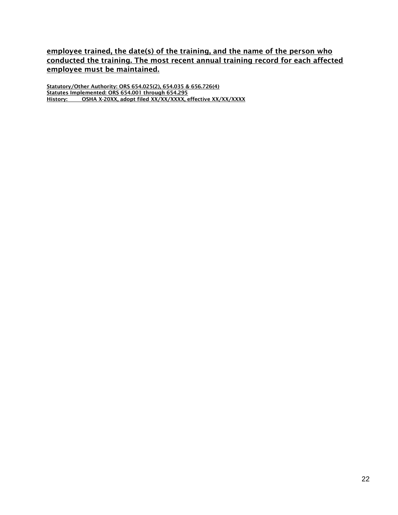employee trained, the date(s) of the training, and the name of the person who conducted the training. The most recent annual training record for each affected employee must be maintained.

Statutory/Other Authority: ORS 654.025(2), 654.035 & 656.726(4) Statutes Implemented: ORS 654.001 through 654.295 History: OSHA X-20XX, adopt filed XX/XX/XXXX, effective XX/XX/XXXX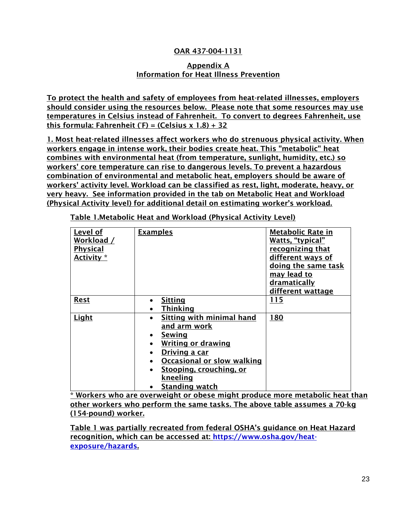### OAR 437-004-1131

#### Appendix A Information for Heat Illness Prevention

To protect the health and safety of employees from heat-related illnesses, employers should consider using the resources below. Please note that some resources may use temperatures in Celsius instead of Fahrenheit. To convert to degrees Fahrenheit, use this formula: Fahrenheit (°F) = (Celsius x 1.8) + 32

1. Most heat-related illnesses affect workers who do strenuous physical activity. When workers engage in intense work, their bodies create heat. This "metabolic" heat combines with environmental heat (from temperature, sunlight, humidity, etc.) so workers' core temperature can rise to dangerous levels. To prevent a hazardous combination of environmental and metabolic heat, employers should be aware of workers' activity level. Workload can be classified as rest, light, moderate, heavy, or very heavy. See information provided in the tab on Metabolic Heat and Workload (Physical Activity level) for additional detail on estimating worker's workload.

| Level of<br>Workload /<br><b>Physical</b><br>Activity * | <b>Examples</b>                                                                                                                                                                                                                                                   | <b>Metabolic Rate in</b><br>Watts, "typical"<br>recognizing that<br>different ways of<br>doing the same task<br>may lead to<br>dramatically<br>different wattage |
|---------------------------------------------------------|-------------------------------------------------------------------------------------------------------------------------------------------------------------------------------------------------------------------------------------------------------------------|------------------------------------------------------------------------------------------------------------------------------------------------------------------|
| <b>Rest</b>                                             | <b>Sitting</b><br><b>Thinking</b>                                                                                                                                                                                                                                 | 115                                                                                                                                                              |
| <b>Light</b>                                            | Sitting with minimal hand<br>and arm work<br>Sewing<br>$\bullet$<br><b>Writing or drawing</b><br><u>Driving a car</u><br>$\bullet$<br><b>Occasional or slow walking</b><br>$\bullet$<br>Stooping, crouching, or<br>$\bullet$<br>kneeling<br><b>Standing watch</b> | 180                                                                                                                                                              |

Table 1.Metabolic Heat and Workload (Physical Activity Level)

\* Workers who are overweight or obese might produce more metabolic heat than other workers who perform the same tasks. The above table assumes a 70-kg (154-pound) worker.

Table 1 was partially recreated from federal OSHA's guidance on Heat Hazard recognition, which can be accessed at: [https://www.osha.gov/heat](https://www.osha.gov/heat-exposure/hazards)[exposure/hazards.](https://www.osha.gov/heat-exposure/hazards)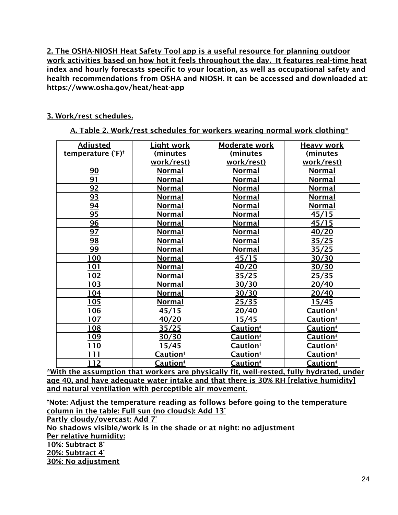2. The OSHA-NIOSH Heat Safety Tool app is a useful resource for planning outdoor work activities based on how hot it feels throughout the day. It features real-time heat index and hourly forecasts specific to your location, as well as occupational safety and health recommendations from OSHA and NIOSH. It can be accessed and downloaded at: https://www.osha.gov/heat/heat-app

#### 3. Work/rest schedules.

A. Table 2. Work/rest schedules for workers wearing normal work clothing\*

| <b>Adjusted</b>               | <b>Light work</b>    | Moderate work        | <b>Heavy work</b>    |
|-------------------------------|----------------------|----------------------|----------------------|
| temperature (°F) <sup>+</sup> | (minutes             | (minutes             | (minutes             |
|                               | work/rest)           | work/rest)           | work/rest)           |
| 90                            | <b>Normal</b>        | <b>Normal</b>        | <b>Normal</b>        |
| 91                            | <b>Normal</b>        | <b>Normal</b>        | <b>Normal</b>        |
| 92                            | Normal               | Normal               | <b>Normal</b>        |
| <u>93</u>                     | <u>Normal</u>        | Normal               | <b>Normal</b>        |
| 94                            | <b>Normal</b>        | <b>Normal</b>        | <b>Normal</b>        |
| 95                            | <b>Normal</b>        | <b>Normal</b>        | 45/15                |
| 96                            | <u>Normal</u>        | <u>Normal</u>        | 45/15                |
| 97                            | <b>Normal</b>        | <b>Normal</b>        | 40/20                |
| 98                            | <b>Normal</b>        | <b>Normal</b>        | 35/25                |
| 99                            | <b>Normal</b>        | Normal               | 35/25                |
| 100                           | <u>Normal</u>        | 45/15                | 30/30                |
| 101                           | Normal               | 40/20                | 30/30                |
| 102                           | <b>Normal</b>        | 35/25                | 25/35                |
| 103                           | <b>Normal</b>        | 30/30                | 20/40                |
| 104                           | <b>Normal</b>        | 30/30                | 20/40                |
| 105                           | <b>Normal</b>        | 25/35                | 15/45                |
| 106                           | 45/15                | 20/40                | Caution <sup>#</sup> |
| 107                           | 40/20                | 15/45                | Caution <sup>‡</sup> |
| 108                           | 35/25                | Caution <sup>#</sup> | Caution <sup>#</sup> |
| 109                           | 30/30                | Caution <sup>#</sup> | Caution <sup>#</sup> |
| 110                           | 15/45                | Caution <sup>#</sup> | Caution <sup>#</sup> |
| 111                           | Caution‡             | Caution <sup>#</sup> | Caution <sup>*</sup> |
| 112                           | Caution <sup>#</sup> | Caution <sup>#</sup> | Caution <sup>*</sup> |

\*With the assumption that workers are physically fit, well-rested, fully hydrated, under age 40, and have adequate water intake and that there is 30% RH [relative humidity] and natural ventilation with perceptible air movement.

†Note: Adjust the temperature reading as follows before going to the temperature column in the table: Full sun (no clouds): Add 13° Partly cloudy/overcast: Add 7° No shadows visible/work is in the shade or at night: no adjustment Per relative humidity: 10%: Subtract 8° 20%: Subtract 4° 30%: No adjustment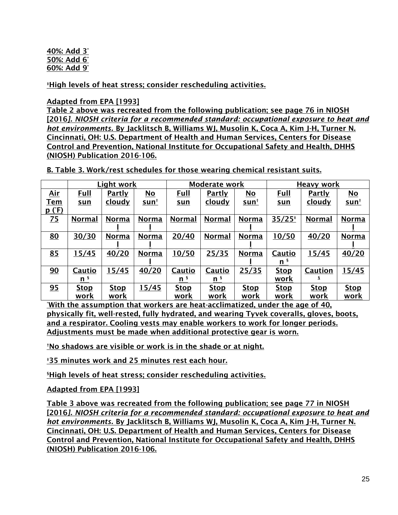#### 40%: Add 3° 50%: Add 6° 60%: Add 9°

‡High levels of heat stress; consider rescheduling activities.

### Adapted from EPA [1993]

Table 2 above was recreated from the following publication; see page 76 in NIOSH [2016*]. NIOSH criteria for a recommended standard: occupational exposure to heat and hot environments.* By Jacklitsch B, Williams WJ, Musolin K, Coca A, Kim J-H, Turner N. Cincinnati, OH: U.S. Department of Health and Human Services, Centers for Disease Control and Prevention, National Institute for Occupational Safety and Health, DHHS (NIOSH) Publication 2016-106.

B. Table 3. Work/rest schedules for those wearing chemical resistant suits.

|                 |                | Light work    |              |                | <b>Moderate work</b> |              | Heavy work     |               |              |
|-----------------|----------------|---------------|--------------|----------------|----------------------|--------------|----------------|---------------|--------------|
| Air             | Full           | <b>Partly</b> | No           | Full           | Partly               | No           | Full           | <b>Partly</b> | No           |
| <b>Tem</b>      | <u>sun</u>     | <u>cloudy</u> | <u>sunt</u>  | <u>sun</u>     | <u>cloudy</u>        | <u>sun†</u>  | <u>sun</u>     | <u>cloudy</u> | <u>sunt</u>  |
| <u>p (°F)</u>   |                |               |              |                |                      |              |                |               |              |
| $\overline{25}$ | <b>Normal</b>  | <b>Norma</b>  | <b>Norma</b> | <b>Normal</b>  | <b>Normal</b>        | <b>Norma</b> | $35/25*$       | Normal        | <b>Norma</b> |
|                 |                |               |              |                |                      |              |                |               |              |
| <u>80</u>       | 30/30          | <b>Norma</b>  | <b>Norma</b> | 20/40          | <b>Normal</b>        | <b>Norma</b> | 10/50          | 40/20         | <b>Norma</b> |
|                 |                |               |              |                |                      |              |                |               |              |
| 85              | 15/45          | 40/20         | <b>Norma</b> | 10/50          | 25/35                | <b>Norma</b> | <b>Cautio</b>  | 15/45         | 40/20        |
|                 |                |               |              |                |                      |              | n <sup>s</sup> |               |              |
| 90              | Cautio         | 15/45         | 40/20        | Cautio         | Cautio               | 25/35        | <b>Stop</b>    | Caution       | 15/45        |
|                 | n <sub>s</sub> |               |              | n <sub>s</sub> | n <sub>s</sub>       |              | work           |               |              |
| 95              | <b>Stop</b>    | <b>Stop</b>   | 15/45        | <b>Stop</b>    | <b>Stop</b>          | <u>Stop</u>  | <u>Stop</u>    | <u>Stop</u>   | <b>Stop</b>  |
|                 | work           | work          |              | work           | work                 | work         | work           | work          | work         |

\*With the assumption that workers are heat-acclimatized, under the age of 40, physically fit, well-rested, fully hydrated, and wearing Tyvek coveralls, gloves, boots, and a respirator. Cooling vests may enable workers to work for longer periods. Adjustments must be made when additional protective gear is worn.

†No shadows are visible or work is in the shade or at night.

‡35 minutes work and 25 minutes rest each hour.

§High levels of heat stress; consider rescheduling activities.

Adapted from EPA [1993]

Table 3 above was recreated from the following publication; see page 77 in NIOSH [2016*]. NIOSH criteria for a recommended standard: occupational exposure to heat and hot environments.* By Jacklitsch B, Williams WJ, Musolin K, Coca A, Kim J-H, Turner N. Cincinnati, OH: U.S. Department of Health and Human Services, Centers for Disease Control and Prevention, National Institute for Occupational Safety and Health, DHHS (NIOSH) Publication 2016-106.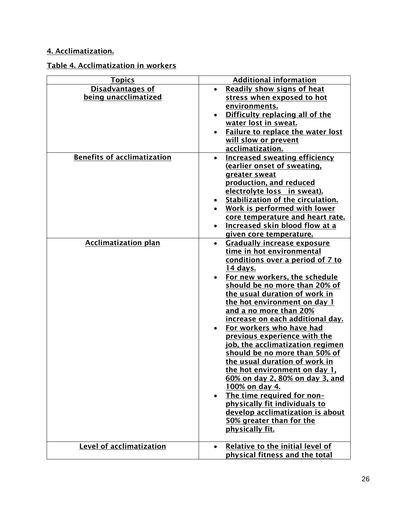## 4. Acclimatization.

## Table 4. Acclimatization in workers

| <b>Topics</b>                      | <b>Additional information</b>                   |
|------------------------------------|-------------------------------------------------|
| <b>Disadvantages of</b>            | <b>Readily show signs of heat</b>               |
| being unacclimatized               | stress when exposed to hot                      |
|                                    | environments.                                   |
|                                    | Difficulty replacing all of the                 |
|                                    | water lost in sweat.                            |
|                                    | <b>Failure to replace the water lost</b>        |
|                                    | will slow or prevent                            |
|                                    | acclimatization.                                |
| <b>Benefits of acclimatization</b> | <b>Increased sweating efficiency</b>            |
|                                    | (earlier onset of sweating,                     |
|                                    |                                                 |
|                                    | greater sweat                                   |
|                                    | production, and reduced                         |
|                                    | electrolyte loss in sweat).                     |
|                                    | Stabilization of the circulation.<br>$\bullet$  |
|                                    | Work is performed with lower                    |
|                                    | core temperature and heart rate.                |
|                                    | <b>Increased skin blood flow at a</b>           |
|                                    | given core temperature.                         |
| <b>Acclimatization plan</b>        | <b>Gradually increase exposure</b><br>$\bullet$ |
|                                    | time in hot environmental                       |
|                                    | conditions over a period of 7 to                |
|                                    | <u>14 days.</u>                                 |
|                                    | For new workers, the schedule                   |
|                                    | should be no more than 20% of                   |
|                                    | the usual duration of work in                   |
|                                    | the hot environment on day 1                    |
|                                    | and a no more than 20%                          |
|                                    | <u>increase on each additional day.</u>         |
|                                    | For workers who have had                        |
|                                    | previous experience with the                    |
|                                    | job, the acclimatization regimen                |
|                                    | should be no more than 50% of                   |
|                                    | the usual duration of work in                   |
|                                    | the hot environment on day 1,                   |
|                                    | 60% on day 2, 80% on day 3, and                 |
|                                    | <u>100% on day 4.</u>                           |
|                                    | The time required for non-                      |
|                                    | physically fit individuals to                   |
|                                    | develop acclimatization is about                |
|                                    | 50% greater than for the                        |
|                                    | physically fit.                                 |
|                                    |                                                 |
| Level of acclimatization           | Relative to the initial level of<br>$\bullet$   |
|                                    | physical fitness and the total                  |
|                                    |                                                 |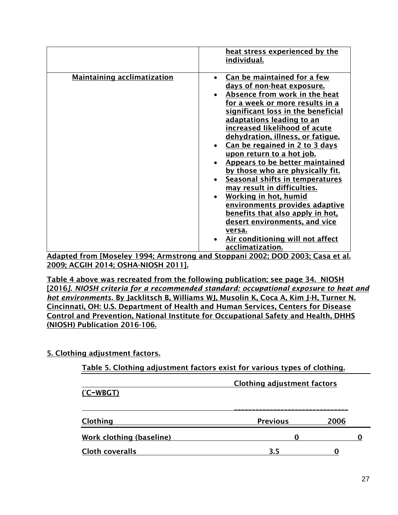|                                                            | heat stress experienced by the<br>individual.                                                                                                                                                                                                                                                                                                                                                                                                                                                                                                                                                                                                                                    |
|------------------------------------------------------------|----------------------------------------------------------------------------------------------------------------------------------------------------------------------------------------------------------------------------------------------------------------------------------------------------------------------------------------------------------------------------------------------------------------------------------------------------------------------------------------------------------------------------------------------------------------------------------------------------------------------------------------------------------------------------------|
| <b>Maintaining acclimatization</b>                         | Can be maintained for a few<br>days of non-heat exposure.<br>Absence from work in the heat<br>for a week or more results in a<br>significant loss in the beneficial<br>adaptations leading to an<br>increased likelihood of acute<br>dehydration, illness, or fatique.<br>Can be regained in 2 to 3 days<br>upon return to a hot job.<br>Appears to be better maintained<br>by those who are physically fit.<br>Seasonal shifts in temperatures<br>may result in difficulties.<br>Working in hot, humid<br>environments provides adaptive<br>benefits that also apply in hot,<br>desert environments, and vice<br>versa.<br>Air conditioning will not affect<br>acclimatization. |
| $\mathbf{r}$<br><b>FA 4</b><br>$\sim$ $\sim$ $\sim$ $\sim$ | .<br>$\frac{1}{2}$                                                                                                                                                                                                                                                                                                                                                                                                                                                                                                                                                                                                                                                               |

Adapted from [Moseley 1994; Armstrong and Stoppani 2002; DOD 2003; Casa et al. 2009; ACGIH 2014; OSHA-NIOSH 2011].

Table 4 above was recreated from the following publication; see page 34. NIOSH [2016*]. NIOSH criteria for a recommended standard: occupational exposure to heat and hot environments.* By Jacklitsch B, Williams WJ, Musolin K, Coca A, Kim J-H, Turner N. Cincinnati, OH: U.S. Department of Health and Human Services, Centers for Disease Control and Prevention, National Institute for Occupational Safety and Health, DHHS (NIOSH) Publication 2016-106.

### 5. Clothing adjustment factors.

| Table 5. Clothing adjustment factors exist for various types of clothing. |                 |      |  |
|---------------------------------------------------------------------------|-----------------|------|--|
| <b>Clothing adjustment factors</b><br>$(C-WBGT)$                          |                 |      |  |
| Clothing                                                                  | <b>Previous</b> | 2006 |  |
| Work clothing (baseline)                                                  |                 |      |  |
| <b>Cloth coveralls</b>                                                    | 3.5             |      |  |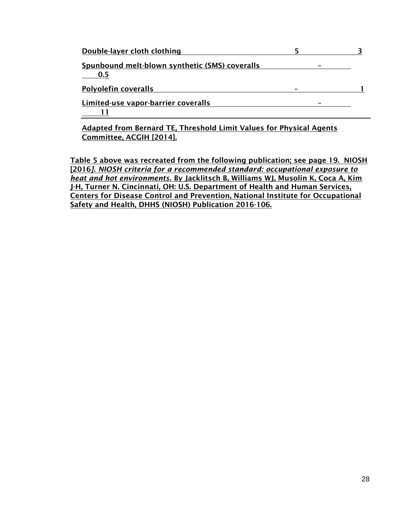| Double-layer cloth clothing                                        |  |
|--------------------------------------------------------------------|--|
| Spunbound melt-blown synthetic (SMS) coveralls<br>0.5              |  |
| <b>Polyolefin coveralls</b>                                        |  |
| Limited-use vapor-barrier coveralls                                |  |
| Adopted from Demond TE, Threebeld Limit Velues for Dhusisel Agents |  |

Adapted from Bernard TE, Threshold Limit Values for Physical Agents Committee, ACGIH [2014].

Table 5 above was recreated from the following publication; see page 19. NIOSH [2016*]. NIOSH criteria for a recommended standard: occupational exposure to heat and hot environments.* By Jacklitsch B, Williams WJ, Musolin K, Coca A, Kim J-H, Turner N. Cincinnati, OH: U.S. Department of Health and Human Services, Centers for Disease Control and Prevention, National Institute for Occupational Safety and Health, DHHS (NIOSH) Publication 2016-106.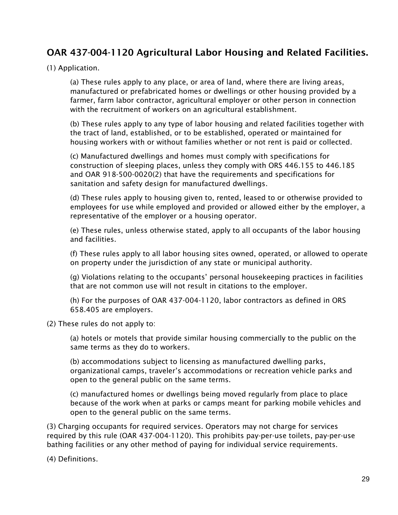## OAR 437-004-1120 Agricultural Labor Housing and Related Facilities.

#### (1) Application.

(a) These rules apply to any place, or area of land, where there are living areas, manufactured or prefabricated homes or dwellings or other housing provided by a farmer, farm labor contractor, agricultural employer or other person in connection with the recruitment of workers on an agricultural establishment.

(b) These rules apply to any type of labor housing and related facilities together with the tract of land, established, or to be established, operated or maintained for housing workers with or without families whether or not rent is paid or collected.

(c) Manufactured dwellings and homes must comply with specifications for construction of sleeping places, unless they comply with ORS 446.155 to 446.185 and OAR 918-500-0020(2) that have the requirements and specifications for sanitation and safety design for manufactured dwellings.

(d) These rules apply to housing given to, rented, leased to or otherwise provided to employees for use while employed and provided or allowed either by the employer, a representative of the employer or a housing operator.

(e) These rules, unless otherwise stated, apply to all occupants of the labor housing and facilities.

(f) These rules apply to all labor housing sites owned, operated, or allowed to operate on property under the jurisdiction of any state or municipal authority.

(g) Violations relating to the occupants' personal housekeeping practices in facilities that are not common use will not result in citations to the employer.

(h) For the purposes of OAR 437-004-1120, labor contractors as defined in ORS 658.405 are employers.

(2) These rules do not apply to:

(a) hotels or motels that provide similar housing commercially to the public on the same terms as they do to workers.

(b) accommodations subject to licensing as manufactured dwelling parks, organizational camps, traveler's accommodations or recreation vehicle parks and open to the general public on the same terms.

(c) manufactured homes or dwellings being moved regularly from place to place because of the work when at parks or camps meant for parking mobile vehicles and open to the general public on the same terms.

(3) Charging occupants for required services. Operators may not charge for services required by this rule (OAR 437-004-1120). This prohibits pay-per-use toilets, pay-per-use bathing facilities or any other method of paying for individual service requirements.

(4) Definitions.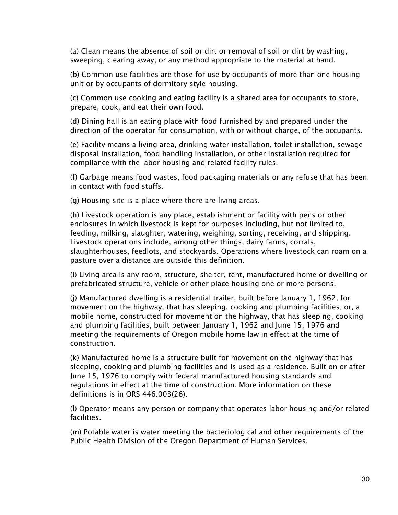(a) Clean means the absence of soil or dirt or removal of soil or dirt by washing, sweeping, clearing away, or any method appropriate to the material at hand.

(b) Common use facilities are those for use by occupants of more than one housing unit or by occupants of dormitory-style housing.

(c) Common use cooking and eating facility is a shared area for occupants to store, prepare, cook, and eat their own food.

(d) Dining hall is an eating place with food furnished by and prepared under the direction of the operator for consumption, with or without charge, of the occupants.

(e) Facility means a living area, drinking water installation, toilet installation, sewage disposal installation, food handling installation, or other installation required for compliance with the labor housing and related facility rules.

(f) Garbage means food wastes, food packaging materials or any refuse that has been in contact with food stuffs.

(g) Housing site is a place where there are living areas.

(h) Livestock operation is any place, establishment or facility with pens or other enclosures in which livestock is kept for purposes including, but not limited to, feeding, milking, slaughter, watering, weighing, sorting, receiving, and shipping. Livestock operations include, among other things, dairy farms, corrals, slaughterhouses, feedlots, and stockyards. Operations where livestock can roam on a pasture over a distance are outside this definition.

(i) Living area is any room, structure, shelter, tent, manufactured home or dwelling or prefabricated structure, vehicle or other place housing one or more persons.

(j) Manufactured dwelling is a residential trailer, built before January 1, 1962, for movement on the highway, that has sleeping, cooking and plumbing facilities; or, a mobile home, constructed for movement on the highway, that has sleeping, cooking and plumbing facilities, built between January 1, 1962 and June 15, 1976 and meeting the requirements of Oregon mobile home law in effect at the time of construction.

(k) Manufactured home is a structure built for movement on the highway that has sleeping, cooking and plumbing facilities and is used as a residence. Built on or after June 15, 1976 to comply with federal manufactured housing standards and regulations in effect at the time of construction. More information on these definitions is in ORS 446.003(26).

(l) Operator means any person or company that operates labor housing and/or related facilities.

(m) Potable water is water meeting the bacteriological and other requirements of the Public Health Division of the Oregon Department of Human Services.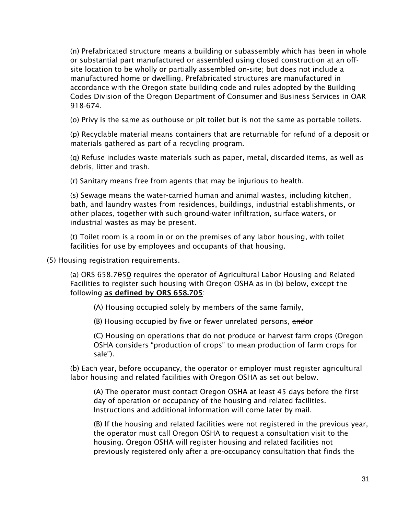(n) Prefabricated structure means a building or subassembly which has been in whole or substantial part manufactured or assembled using closed construction at an offsite location to be wholly or partially assembled on-site; but does not include a manufactured home or dwelling. Prefabricated structures are manufactured in accordance with the Oregon state building code and rules adopted by the Building Codes Division of the Oregon Department of Consumer and Business Services in OAR 918-674.

(o) Privy is the same as outhouse or pit toilet but is not the same as portable toilets.

(p) Recyclable material means containers that are returnable for refund of a deposit or materials gathered as part of a recycling program.

(q) Refuse includes waste materials such as paper, metal, discarded items, as well as debris, litter and trash.

(r) Sanitary means free from agents that may be injurious to health.

(s) Sewage means the water-carried human and animal wastes, including kitchen, bath, and laundry wastes from residences, buildings, industrial establishments, or other places, together with such ground-water infiltration, surface waters, or industrial wastes as may be present.

(t) Toilet room is a room in or on the premises of any labor housing, with toilet facilities for use by employees and occupants of that housing.

(5) Housing registration requirements.

(a) ORS  $658.7\theta$ 50 requires the operator of Agricultural Labor Housing and Related Facilities to register such housing with Oregon OSHA as in (b) below, except the following as defined by ORS 658.705:

(A) Housing occupied solely by members of the same family,

(B) Housing occupied by five or fewer unrelated persons, andor

(C) Housing on operations that do not produce or harvest farm crops (Oregon OSHA considers "production of crops" to mean production of farm crops for sale").

(b) Each year, before occupancy, the operator or employer must register agricultural labor housing and related facilities with Oregon OSHA as set out below.

(A) The operator must contact Oregon OSHA at least 45 days before the first day of operation or occupancy of the housing and related facilities. Instructions and additional information will come later by mail.

(B) If the housing and related facilities were not registered in the previous year, the operator must call Oregon OSHA to request a consultation visit to the housing. Oregon OSHA will register housing and related facilities not previously registered only after a pre-occupancy consultation that finds the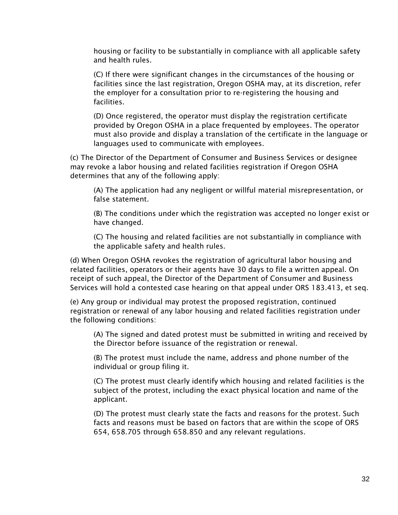housing or facility to be substantially in compliance with all applicable safety and health rules.

(C) If there were significant changes in the circumstances of the housing or facilities since the last registration, Oregon OSHA may, at its discretion, refer the employer for a consultation prior to re-registering the housing and facilities.

(D) Once registered, the operator must display the registration certificate provided by Oregon OSHA in a place frequented by employees. The operator must also provide and display a translation of the certificate in the language or languages used to communicate with employees.

(c) The Director of the Department of Consumer and Business Services or designee may revoke a labor housing and related facilities registration if Oregon OSHA determines that any of the following apply:

(A) The application had any negligent or willful material misrepresentation, or false statement.

(B) The conditions under which the registration was accepted no longer exist or have changed.

(C) The housing and related facilities are not substantially in compliance with the applicable safety and health rules.

(d) When Oregon OSHA revokes the registration of agricultural labor housing and related facilities, operators or their agents have 30 days to file a written appeal. On receipt of such appeal, the Director of the Department of Consumer and Business Services will hold a contested case hearing on that appeal under ORS 183.413, et seq.

(e) Any group or individual may protest the proposed registration, continued registration or renewal of any labor housing and related facilities registration under the following conditions:

(A) The signed and dated protest must be submitted in writing and received by the Director before issuance of the registration or renewal.

(B) The protest must include the name, address and phone number of the individual or group filing it.

(C) The protest must clearly identify which housing and related facilities is the subject of the protest, including the exact physical location and name of the applicant.

(D) The protest must clearly state the facts and reasons for the protest. Such facts and reasons must be based on factors that are within the scope of ORS 654, 658.705 through 658.850 and any relevant regulations.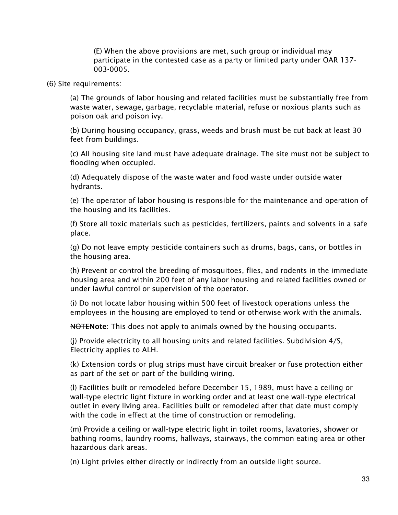(E) When the above provisions are met, such group or individual may participate in the contested case as a party or limited party under OAR 137- 003-0005.

#### (6) Site requirements:

(a) The grounds of labor housing and related facilities must be substantially free from waste water, sewage, garbage, recyclable material, refuse or noxious plants such as poison oak and poison ivy.

(b) During housing occupancy, grass, weeds and brush must be cut back at least 30 feet from buildings.

(c) All housing site land must have adequate drainage. The site must not be subject to flooding when occupied.

(d) Adequately dispose of the waste water and food waste under outside water hydrants.

(e) The operator of labor housing is responsible for the maintenance and operation of the housing and its facilities.

(f) Store all toxic materials such as pesticides, fertilizers, paints and solvents in a safe place.

(g) Do not leave empty pesticide containers such as drums, bags, cans, or bottles in the housing area.

(h) Prevent or control the breeding of mosquitoes, flies, and rodents in the immediate housing area and within 200 feet of any labor housing and related facilities owned or under lawful control or supervision of the operator.

(i) Do not locate labor housing within 500 feet of livestock operations unless the employees in the housing are employed to tend or otherwise work with the animals.

**NOTENote:** This does not apply to animals owned by the housing occupants.

(j) Provide electricity to all housing units and related facilities. Subdivision 4/S, Electricity applies to ALH.

(k) Extension cords or plug strips must have circuit breaker or fuse protection either as part of the set or part of the building wiring.

(l) Facilities built or remodeled before December 15, 1989, must have a ceiling or wall-type electric light fixture in working order and at least one wall-type electrical outlet in every living area. Facilities built or remodeled after that date must comply with the code in effect at the time of construction or remodeling.

(m) Provide a ceiling or wall-type electric light in toilet rooms, lavatories, shower or bathing rooms, laundry rooms, hallways, stairways, the common eating area or other hazardous dark areas.

(n) Light privies either directly or indirectly from an outside light source.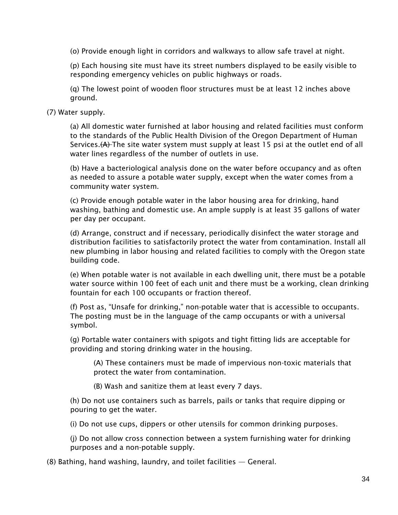(o) Provide enough light in corridors and walkways to allow safe travel at night.

(p) Each housing site must have its street numbers displayed to be easily visible to responding emergency vehicles on public highways or roads.

(q) The lowest point of wooden floor structures must be at least 12 inches above ground.

(7) Water supply.

(a) All domestic water furnished at labor housing and related facilities must conform to the standards of the Public Health Division of the Oregon Department of Human Services. $(A)$ -The site water system must supply at least 15 psi at the outlet end of all water lines regardless of the number of outlets in use.

(b) Have a bacteriological analysis done on the water before occupancy and as often as needed to assure a potable water supply, except when the water comes from a community water system.

(c) Provide enough potable water in the labor housing area for drinking, hand washing, bathing and domestic use. An ample supply is at least 35 gallons of water per day per occupant.

(d) Arrange, construct and if necessary, periodically disinfect the water storage and distribution facilities to satisfactorily protect the water from contamination. Install all new plumbing in labor housing and related facilities to comply with the Oregon state building code.

(e) When potable water is not available in each dwelling unit, there must be a potable water source within 100 feet of each unit and there must be a working, clean drinking fountain for each 100 occupants or fraction thereof.

(f) Post as, "Unsafe for drinking," non-potable water that is accessible to occupants. The posting must be in the language of the camp occupants or with a universal symbol.

(g) Portable water containers with spigots and tight fitting lids are acceptable for providing and storing drinking water in the housing.

(A) These containers must be made of impervious non-toxic materials that protect the water from contamination.

(B) Wash and sanitize them at least every 7 days.

(h) Do not use containers such as barrels, pails or tanks that require dipping or pouring to get the water.

(i) Do not use cups, dippers or other utensils for common drinking purposes.

(j) Do not allow cross connection between a system furnishing water for drinking purposes and a non-potable supply.

(8) Bathing, hand washing, laundry, and toilet facilities — General.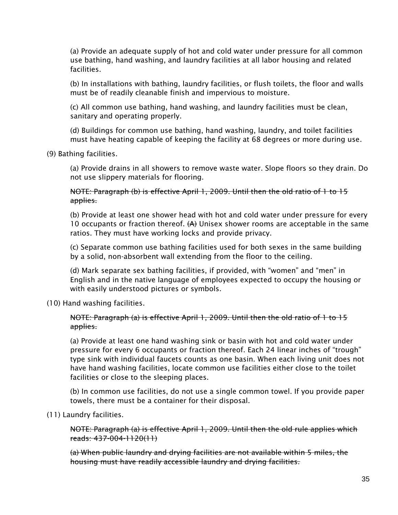(a) Provide an adequate supply of hot and cold water under pressure for all common use bathing, hand washing, and laundry facilities at all labor housing and related facilities.

(b) In installations with bathing, laundry facilities, or flush toilets, the floor and walls must be of readily cleanable finish and impervious to moisture.

(c) All common use bathing, hand washing, and laundry facilities must be clean, sanitary and operating properly.

(d) Buildings for common use bathing, hand washing, laundry, and toilet facilities must have heating capable of keeping the facility at 68 degrees or more during use.

(9) Bathing facilities.

(a) Provide drains in all showers to remove waste water. Slope floors so they drain. Do not use slippery materials for flooring.

NOTE: Paragraph (b) is effective April 1, 2009. Until then the old ratio of 1 to 15 applies.

(b) Provide at least one shower head with hot and cold water under pressure for every 10 occupants or fraction thereof.  $(A)$  Unisex shower rooms are acceptable in the same ratios. They must have working locks and provide privacy.

(c) Separate common use bathing facilities used for both sexes in the same building by a solid, non-absorbent wall extending from the floor to the ceiling.

(d) Mark separate sex bathing facilities, if provided, with "women" and "men" in English and in the native language of employees expected to occupy the housing or with easily understood pictures or symbols.

(10) Hand washing facilities.

#### NOTE: Paragraph (a) is effective April 1, 2009. Until then the old ratio of 1 to 15 applies.

(a) Provide at least one hand washing sink or basin with hot and cold water under pressure for every 6 occupants or fraction thereof. Each 24 linear inches of "trough" type sink with individual faucets counts as one basin. When each living unit does not have hand washing facilities, locate common use facilities either close to the toilet facilities or close to the sleeping places.

(b) In common use facilities, do not use a single common towel. If you provide paper towels, there must be a container for their disposal.

(11) Laundry facilities.

NOTE: Paragraph (a) is effective April 1, 2009. Until then the old rule applies which reads: 437-004-1120(11)

(a) When public laundry and drying facilities are not available within 5 miles, the housing must have readily accessible laundry and drying facilities.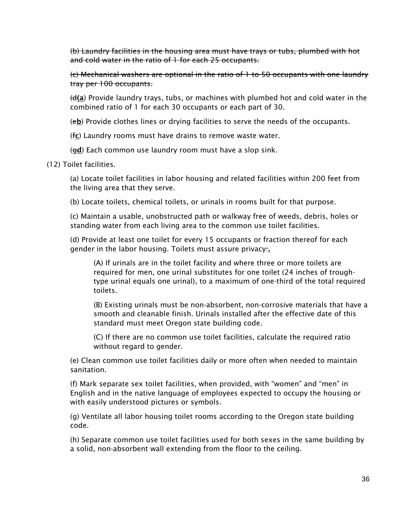(b) Laundry facilities in the housing area must have trays or tubs, plumbed with hot and cold water in the ratio of 1 for each 25 occupants.

(c) Mechanical washers are optional in the ratio of 1 to 50 occupants with one laundry tray per 100 occupants.

 $\Theta$ (a) Provide laundry trays, tubs, or machines with plumbed hot and cold water in the combined ratio of 1 for each 30 occupants or each part of 30.

(eb) Provide clothes lines or drying facilities to serve the needs of the occupants.

(fc) Laundry rooms must have drains to remove waste water.

(gd) Each common use laundry room must have a slop sink.

(12) Toilet facilities.

(a) Locate toilet facilities in labor housing and related facilities within 200 feet from the living area that they serve.

(b) Locate toilets, chemical toilets, or urinals in rooms built for that purpose.

(c) Maintain a usable, unobstructed path or walkway free of weeds, debris, holes or standing water from each living area to the common use toilet facilities.

(d) Provide at least one toilet for every 15 occupants or fraction thereof for each gender in the labor housing. Toilets must assure privacy:.

(A) If urinals are in the toilet facility and where three or more toilets are required for men, one urinal substitutes for one toilet (24 inches of troughtype urinal equals one urinal), to a maximum of one-third of the total required toilets.

(B) Existing urinals must be non-absorbent, non-corrosive materials that have a smooth and cleanable finish. Urinals installed after the effective date of this standard must meet Oregon state building code.

(C) If there are no common use toilet facilities, calculate the required ratio without regard to gender.

(e) Clean common use toilet facilities daily or more often when needed to maintain sanitation.

(f) Mark separate sex toilet facilities, when provided, with "women" and "men" in English and in the native language of employees expected to occupy the housing or with easily understood pictures or symbols.

(g) Ventilate all labor housing toilet rooms according to the Oregon state building code.

(h) Separate common use toilet facilities used for both sexes in the same building by a solid, non-absorbent wall extending from the floor to the ceiling.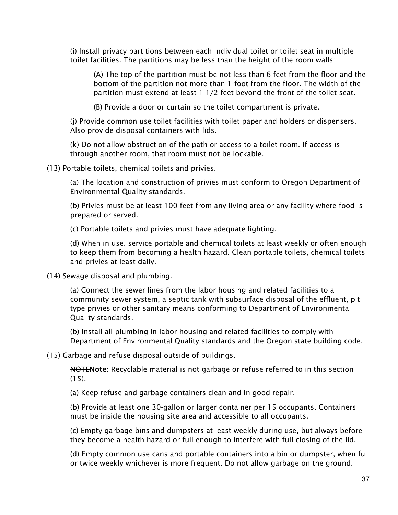(i) Install privacy partitions between each individual toilet or toilet seat in multiple toilet facilities. The partitions may be less than the height of the room walls:

(A) The top of the partition must be not less than 6 feet from the floor and the bottom of the partition not more than 1-foot from the floor. The width of the partition must extend at least 1 1/2 feet beyond the front of the toilet seat.

(B) Provide a door or curtain so the toilet compartment is private.

(j) Provide common use toilet facilities with toilet paper and holders or dispensers. Also provide disposal containers with lids.

(k) Do not allow obstruction of the path or access to a toilet room. If access is through another room, that room must not be lockable.

(13) Portable toilets, chemical toilets and privies.

(a) The location and construction of privies must conform to Oregon Department of Environmental Quality standards.

(b) Privies must be at least 100 feet from any living area or any facility where food is prepared or served.

(c) Portable toilets and privies must have adequate lighting.

(d) When in use, service portable and chemical toilets at least weekly or often enough to keep them from becoming a health hazard. Clean portable toilets, chemical toilets and privies at least daily.

(14) Sewage disposal and plumbing.

(a) Connect the sewer lines from the labor housing and related facilities to a community sewer system, a septic tank with subsurface disposal of the effluent, pit type privies or other sanitary means conforming to Department of Environmental Quality standards.

(b) Install all plumbing in labor housing and related facilities to comply with Department of Environmental Quality standards and the Oregon state building code.

(15) Garbage and refuse disposal outside of buildings.

NOTENote: Recyclable material is not garbage or refuse referred to in this section  $(15)$ .

(a) Keep refuse and garbage containers clean and in good repair.

(b) Provide at least one 30-gallon or larger container per 15 occupants. Containers must be inside the housing site area and accessible to all occupants.

(c) Empty garbage bins and dumpsters at least weekly during use, but always before they become a health hazard or full enough to interfere with full closing of the lid.

(d) Empty common use cans and portable containers into a bin or dumpster, when full or twice weekly whichever is more frequent. Do not allow garbage on the ground.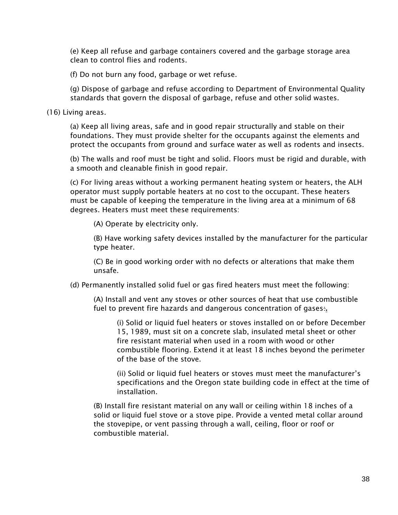(e) Keep all refuse and garbage containers covered and the garbage storage area clean to control flies and rodents.

(f) Do not burn any food, garbage or wet refuse.

(g) Dispose of garbage and refuse according to Department of Environmental Quality standards that govern the disposal of garbage, refuse and other solid wastes.

(16) Living areas.

(a) Keep all living areas, safe and in good repair structurally and stable on their foundations. They must provide shelter for the occupants against the elements and protect the occupants from ground and surface water as well as rodents and insects.

(b) The walls and roof must be tight and solid. Floors must be rigid and durable, with a smooth and cleanable finish in good repair.

(c) For living areas without a working permanent heating system or heaters, the ALH operator must supply portable heaters at no cost to the occupant. These heaters must be capable of keeping the temperature in the living area at a minimum of 68 degrees. Heaters must meet these requirements:

(A) Operate by electricity only.

(B) Have working safety devices installed by the manufacturer for the particular type heater.

(C) Be in good working order with no defects or alterations that make them unsafe.

(d) Permanently installed solid fuel or gas fired heaters must meet the following:

(A) Install and vent any stoves or other sources of heat that use combustible fuel to prevent fire hazards and dangerous concentration of gases:

(i) Solid or liquid fuel heaters or stoves installed on or before December 15, 1989, must sit on a concrete slab, insulated metal sheet or other fire resistant material when used in a room with wood or other combustible flooring. Extend it at least 18 inches beyond the perimeter of the base of the stove.

(ii) Solid or liquid fuel heaters or stoves must meet the manufacturer's specifications and the Oregon state building code in effect at the time of installation.

(B) Install fire resistant material on any wall or ceiling within 18 inches of a solid or liquid fuel stove or a stove pipe. Provide a vented metal collar around the stovepipe, or vent passing through a wall, ceiling, floor or roof or combustible material.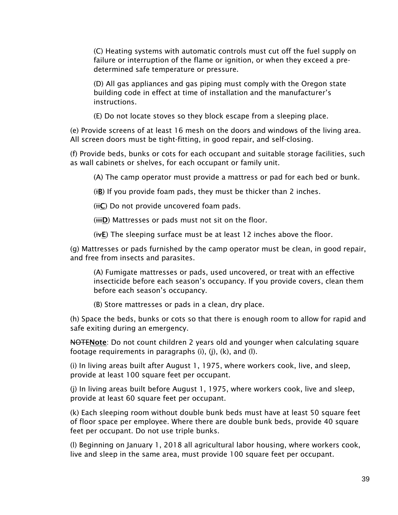(C) Heating systems with automatic controls must cut off the fuel supply on failure or interruption of the flame or ignition, or when they exceed a predetermined safe temperature or pressure.

(D) All gas appliances and gas piping must comply with the Oregon state building code in effect at time of installation and the manufacturer's instructions.

(E) Do not locate stoves so they block escape from a sleeping place.

(e) Provide screens of at least 16 mesh on the doors and windows of the living area. All screen doors must be tight-fitting, in good repair, and self-closing.

(f) Provide beds, bunks or cots for each occupant and suitable storage facilities, such as wall cabinets or shelves, for each occupant or family unit.

(A) The camp operator must provide a mattress or pad for each bed or bunk.

(iB) If you provide foam pads, they must be thicker than 2 inches.

 $(i\textbf{t})$  Do not provide uncovered foam pads.

(HID) Mattresses or pads must not sit on the floor.

( $W$ E) The sleeping surface must be at least 12 inches above the floor.

(g) Mattresses or pads furnished by the camp operator must be clean, in good repair, and free from insects and parasites.

(A) Fumigate mattresses or pads, used uncovered, or treat with an effective insecticide before each season's occupancy. If you provide covers, clean them before each season's occupancy.

(B) Store mattresses or pads in a clean, dry place.

(h) Space the beds, bunks or cots so that there is enough room to allow for rapid and safe exiting during an emergency.

**NOTENote**: Do not count children 2 years old and younger when calculating square footage requirements in paragraphs (i), (j), (k), and (l).

(i) In living areas built after August 1, 1975, where workers cook, live, and sleep, provide at least 100 square feet per occupant.

(j) In living areas built before August 1, 1975, where workers cook, live and sleep, provide at least 60 square feet per occupant.

(k) Each sleeping room without double bunk beds must have at least 50 square feet of floor space per employee. Where there are double bunk beds, provide 40 square feet per occupant. Do not use triple bunks.

(l) Beginning on January 1, 2018 all agricultural labor housing, where workers cook, live and sleep in the same area, must provide 100 square feet per occupant.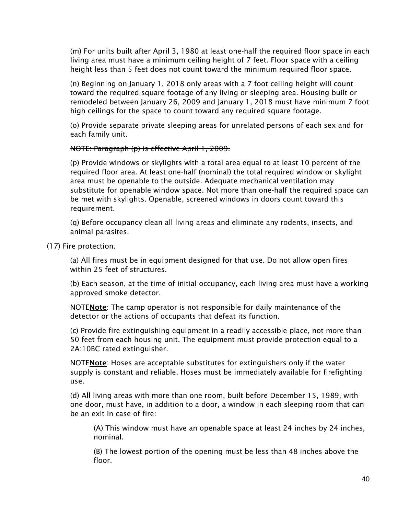(m) For units built after April 3, 1980 at least one-half the required floor space in each living area must have a minimum ceiling height of 7 feet. Floor space with a ceiling height less than 5 feet does not count toward the minimum required floor space.

(n) Beginning on January 1, 2018 only areas with a 7 foot ceiling height will count toward the required square footage of any living or sleeping area. Housing built or remodeled between January 26, 2009 and January 1, 2018 must have minimum 7 foot high ceilings for the space to count toward any required square footage.

(o) Provide separate private sleeping areas for unrelated persons of each sex and for each family unit.

#### NOTE: Paragraph (p) is effective April 1, 2009.

(p) Provide windows or skylights with a total area equal to at least 10 percent of the required floor area. At least one-half (nominal) the total required window or skylight area must be openable to the outside. Adequate mechanical ventilation may substitute for openable window space. Not more than one-half the required space can be met with skylights. Openable, screened windows in doors count toward this requirement.

(q) Before occupancy clean all living areas and eliminate any rodents, insects, and animal parasites.

(17) Fire protection.

(a) All fires must be in equipment designed for that use. Do not allow open fires within 25 feet of structures.

(b) Each season, at the time of initial occupancy, each living area must have a working approved smoke detector.

NOTENote: The camp operator is not responsible for daily maintenance of the detector or the actions of occupants that defeat its function.

(c) Provide fire extinguishing equipment in a readily accessible place, not more than 50 feet from each housing unit. The equipment must provide protection equal to a 2A:10BC rated extinguisher.

**NOTENote:** Hoses are acceptable substitutes for extinguishers only if the water supply is constant and reliable. Hoses must be immediately available for firefighting use.

(d) All living areas with more than one room, built before December 15, 1989, with one door, must have, in addition to a door, a window in each sleeping room that can be an exit in case of fire:

(A) This window must have an openable space at least 24 inches by 24 inches, nominal.

(B) The lowest portion of the opening must be less than 48 inches above the floor.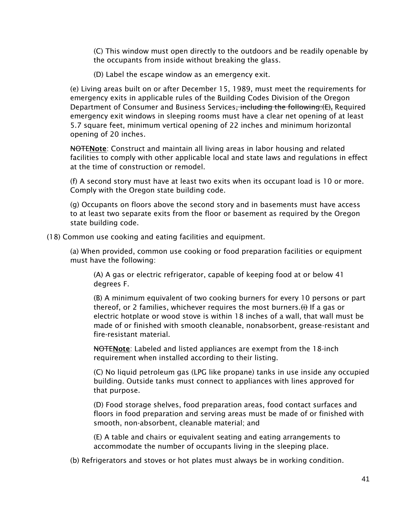(C) This window must open directly to the outdoors and be readily openable by the occupants from inside without breaking the glass.

(D) Label the escape window as an emergency exit.

(e) Living areas built on or after December 15, 1989, must meet the requirements for emergency exits in applicable rules of the Building Codes Division of the Oregon Department of Consumer and Business Services<del>, including the following:(E)</del>. Required emergency exit windows in sleeping rooms must have a clear net opening of at least 5.7 square feet, minimum vertical opening of 22 inches and minimum horizontal opening of 20 inches.

**NOTENote:** Construct and maintain all living areas in labor housing and related facilities to comply with other applicable local and state laws and regulations in effect at the time of construction or remodel.

(f) A second story must have at least two exits when its occupant load is 10 or more. Comply with the Oregon state building code.

(g) Occupants on floors above the second story and in basements must have access to at least two separate exits from the floor or basement as required by the Oregon state building code.

(18) Common use cooking and eating facilities and equipment.

(a) When provided, common use cooking or food preparation facilities or equipment must have the following:

(A) A gas or electric refrigerator, capable of keeping food at or below 41 degrees F.

(B) A minimum equivalent of two cooking burners for every 10 persons or part thereof, or 2 families, whichever requires the most burners. (i) If a gas or electric hotplate or wood stove is within 18 inches of a wall, that wall must be made of or finished with smooth cleanable, nonabsorbent, grease-resistant and fire-resistant material.

**NOTENote:** Labeled and listed appliances are exempt from the 18-inch requirement when installed according to their listing.

(C) No liquid petroleum gas (LPG like propane) tanks in use inside any occupied building. Outside tanks must connect to appliances with lines approved for that purpose.

(D) Food storage shelves, food preparation areas, food contact surfaces and floors in food preparation and serving areas must be made of or finished with smooth, non-absorbent, cleanable material; and

(E) A table and chairs or equivalent seating and eating arrangements to accommodate the number of occupants living in the sleeping place.

(b) Refrigerators and stoves or hot plates must always be in working condition.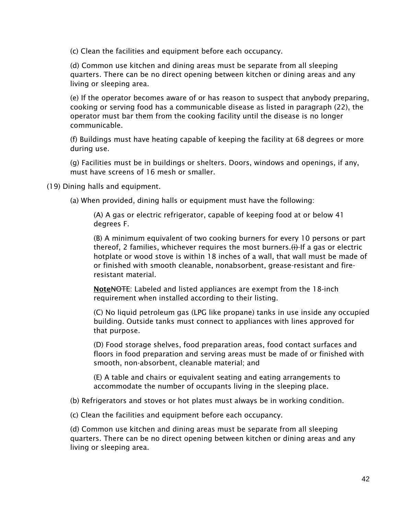(c) Clean the facilities and equipment before each occupancy.

(d) Common use kitchen and dining areas must be separate from all sleeping quarters. There can be no direct opening between kitchen or dining areas and any living or sleeping area.

(e) If the operator becomes aware of or has reason to suspect that anybody preparing, cooking or serving food has a communicable disease as listed in paragraph (22), the operator must bar them from the cooking facility until the disease is no longer communicable.

(f) Buildings must have heating capable of keeping the facility at 68 degrees or more during use.

(g) Facilities must be in buildings or shelters. Doors, windows and openings, if any, must have screens of 16 mesh or smaller.

(19) Dining halls and equipment.

(a) When provided, dining halls or equipment must have the following:

(A) A gas or electric refrigerator, capable of keeping food at or below 41 degrees F.

(B) A minimum equivalent of two cooking burners for every 10 persons or part thereof, 2 families, whichever requires the most burners.  $(f)$  If a gas or electric hotplate or wood stove is within 18 inches of a wall, that wall must be made of or finished with smooth cleanable, nonabsorbent, grease-resistant and fireresistant material.

Note NOTE: Labeled and listed appliances are exempt from the 18-inch requirement when installed according to their listing.

(C) No liquid petroleum gas (LPG like propane) tanks in use inside any occupied building. Outside tanks must connect to appliances with lines approved for that purpose.

(D) Food storage shelves, food preparation areas, food contact surfaces and floors in food preparation and serving areas must be made of or finished with smooth, non-absorbent, cleanable material; and

(E) A table and chairs or equivalent seating and eating arrangements to accommodate the number of occupants living in the sleeping place.

(b) Refrigerators and stoves or hot plates must always be in working condition.

(c) Clean the facilities and equipment before each occupancy.

(d) Common use kitchen and dining areas must be separate from all sleeping quarters. There can be no direct opening between kitchen or dining areas and any living or sleeping area.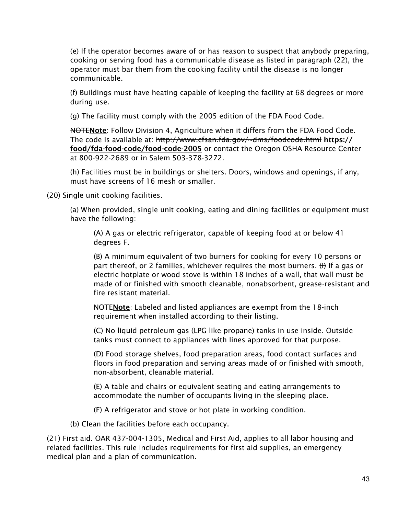(e) If the operator becomes aware of or has reason to suspect that anybody preparing, cooking or serving food has a communicable disease as listed in paragraph (22), the operator must bar them from the cooking facility until the disease is no longer communicable.

(f) Buildings must have heating capable of keeping the facility at 68 degrees or more during use.

(g) The facility must comply with the 2005 edition of the FDA Food Code.

**NOTENote:** Follow Division 4, Agriculture when it differs from the FDA Food Code. The code is available at: http://www.cfsan.fda.gov/~dms/foodcode.html https:// food/fda-food-code/food-code-2005 or contact the Oregon OSHA Resource Center at 800-922-2689 or in Salem 503-378-3272.

(h) Facilities must be in buildings or shelters. Doors, windows and openings, if any, must have screens of 16 mesh or smaller.

(20) Single unit cooking facilities.

(a) When provided, single unit cooking, eating and dining facilities or equipment must have the following:

(A) A gas or electric refrigerator, capable of keeping food at or below 41 degrees F.

(B) A minimum equivalent of two burners for cooking for every 10 persons or part thereof, or 2 families, whichever requires the most burners.  $\leftrightarrow$  If a gas or electric hotplate or wood stove is within 18 inches of a wall, that wall must be made of or finished with smooth cleanable, nonabsorbent, grease-resistant and fire resistant material.

NOTENote: Labeled and listed appliances are exempt from the 18-inch requirement when installed according to their listing.

(C) No liquid petroleum gas (LPG like propane) tanks in use inside. Outside tanks must connect to appliances with lines approved for that purpose.

(D) Food storage shelves, food preparation areas, food contact surfaces and floors in food preparation and serving areas made of or finished with smooth, non-absorbent, cleanable material.

(E) A table and chairs or equivalent seating and eating arrangements to accommodate the number of occupants living in the sleeping place.

(F) A refrigerator and stove or hot plate in working condition.

(b) Clean the facilities before each occupancy.

(21) First aid. OAR 437-004-1305, Medical and First Aid, applies to all labor housing and related facilities. This rule includes requirements for first aid supplies, an emergency medical plan and a plan of communication.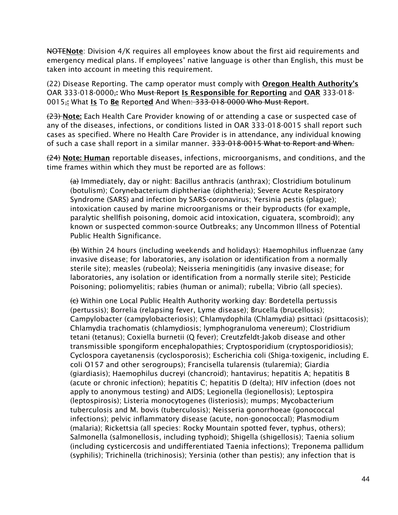**NOTENote**: Division 4/K requires all employees know about the first aid requirements and emergency medical plans. If employees' native language is other than English, this must be taken into account in meeting this requirement.

(22) Disease Reporting. The camp operator must comply with Oregon Health Authority's OAR 333-018-0000; Who Must Report Is Responsible for Reporting and OAR 333-018-0015<sup>-1</sup> What Is To Be Reported And When: 333-018-0000 Who Must Report.

(23) Note: Each Health Care Provider knowing of or attending a case or suspected case of any of the diseases, infections, or conditions listed in OAR 333-018-0015 shall report such cases as specified. Where no Health Care Provider is in attendance, any individual knowing of such a case shall report in a similar manner. 333-018-0015 What to Report and When.

 $(24)$  Note: Human reportable diseases, infections, microorganisms, and conditions, and the time frames within which they must be reported are as follows:

<del>(a)</del> Immediately, day or night: Bacillus anthracis (anthrax); Clostridium botulinum (botulism); Corynebacterium diphtheriae (diphtheria); Severe Acute Respiratory Syndrome (SARS) and infection by SARS-coronavirus; Yersinia pestis (plague); intoxication caused by marine microorganisms or their byproducts (for example, paralytic shellfish poisoning, domoic acid intoxication, ciguatera, scombroid); any known or suspected common-source Outbreaks; any Uncommon Illness of Potential Public Health Significance.

(b) Within 24 hours (including weekends and holidays): Haemophilus influenzae (any invasive disease; for laboratories, any isolation or identification from a normally sterile site); measles (rubeola); Neisseria meningitidis (any invasive disease; for laboratories, any isolation or identification from a normally sterile site); Pesticide Poisoning; poliomyelitis; rabies (human or animal); rubella; Vibrio (all species).

(c) Within one Local Public Health Authority working day: Bordetella pertussis (pertussis); Borrelia (relapsing fever, Lyme disease); Brucella (brucellosis); Campylobacter (campylobacteriosis); Chlamydophila (Chlamydia) psittaci (psittacosis); Chlamydia trachomatis (chlamydiosis; lymphogranuloma venereum); Clostridium tetani (tetanus); Coxiella burnetii (Q fever); Creutzfeldt-Jakob disease and other transmissible spongiform encephalopathies; Cryptosporidium (cryptosporidiosis); Cyclospora cayetanensis (cyclosporosis); Escherichia coli (Shiga-toxigenic, including E. coli O157 and other serogroups); Francisella tularensis (tularemia); Giardia (giardiasis); Haemophilus ducreyi (chancroid); hantavirus; hepatitis A; hepatitis B (acute or chronic infection); hepatitis C; hepatitis D (delta); HIV infection (does not apply to anonymous testing) and AIDS; Legionella (legionellosis); Leptospira (leptospirosis); Listeria monocytogenes (listeriosis); mumps; Mycobacterium tuberculosis and M. bovis (tuberculosis); Neisseria gonorrhoeae (gonococcal infections); pelvic inflammatory disease (acute, non-gonococcal); Plasmodium (malaria); Rickettsia (all species: Rocky Mountain spotted fever, typhus, others); Salmonella (salmonellosis, including typhoid); Shigella (shigellosis); Taenia solium (including cysticercosis and undifferentiated Taenia infections); Treponema pallidum (syphilis); Trichinella (trichinosis); Yersinia (other than pestis); any infection that is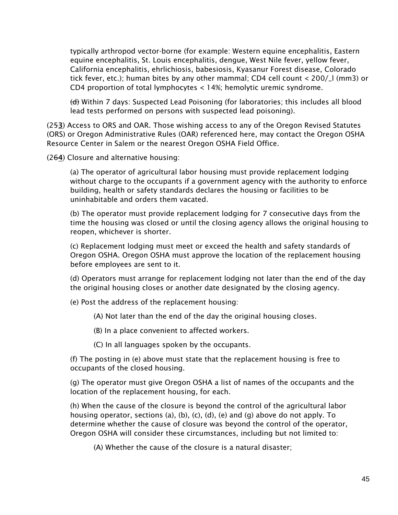typically arthropod vector-borne (for example: Western equine encephalitis, Eastern equine encephalitis, St. Louis encephalitis, dengue, West Nile fever, yellow fever, California encephalitis, ehrlichiosis, babesiosis, Kyasanur Forest disease, Colorado tick fever, etc.); human bites by any other mammal; CD4 cell count < 200/\_l (mm3) or CD4 proportion of total lymphocytes < 14%; hemolytic uremic syndrome.

(d) Within 7 days: Suspected Lead Poisoning (for laboratories; this includes all blood lead tests performed on persons with suspected lead poisoning).

(253) Access to ORS and OAR. Those wishing access to any of the Oregon Revised Statutes (ORS) or Oregon Administrative Rules (OAR) referenced here, may contact the Oregon OSHA Resource Center in Salem or the nearest Oregon OSHA Field Office.

(264) Closure and alternative housing:

(a) The operator of agricultural labor housing must provide replacement lodging without charge to the occupants if a government agency with the authority to enforce building, health or safety standards declares the housing or facilities to be uninhabitable and orders them vacated.

(b) The operator must provide replacement lodging for 7 consecutive days from the time the housing was closed or until the closing agency allows the original housing to reopen, whichever is shorter.

(c) Replacement lodging must meet or exceed the health and safety standards of Oregon OSHA. Oregon OSHA must approve the location of the replacement housing before employees are sent to it.

(d) Operators must arrange for replacement lodging not later than the end of the day the original housing closes or another date designated by the closing agency.

(e) Post the address of the replacement housing:

(A) Not later than the end of the day the original housing closes.

(B) In a place convenient to affected workers.

(C) In all languages spoken by the occupants.

(f) The posting in (e) above must state that the replacement housing is free to occupants of the closed housing.

(g) The operator must give Oregon OSHA a list of names of the occupants and the location of the replacement housing, for each.

(h) When the cause of the closure is beyond the control of the agricultural labor housing operator, sections (a), (b), (c), (d), (e) and (g) above do not apply. To determine whether the cause of closure was beyond the control of the operator, Oregon OSHA will consider these circumstances, including but not limited to:

(A) Whether the cause of the closure is a natural disaster;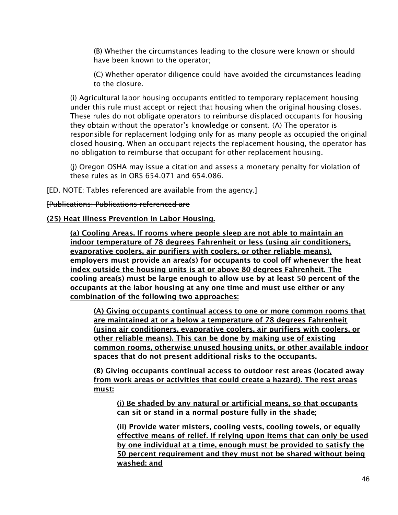(B) Whether the circumstances leading to the closure were known or should have been known to the operator;

(C) Whether operator diligence could have avoided the circumstances leading to the closure.

(i) Agricultural labor housing occupants entitled to temporary replacement housing under this rule must accept or reject that housing when the original housing closes. These rules do not obligate operators to reimburse displaced occupants for housing they obtain without the operator's knowledge or consent.  $(A)$  The operator is responsible for replacement lodging only for as many people as occupied the original closed housing. When an occupant rejects the replacement housing, the operator has no obligation to reimburse that occupant for other replacement housing.

(j) Oregon OSHA may issue a citation and assess a monetary penalty for violation of these rules as in ORS 654.071 and 654.086.

[ED. NOTE: Tables referenced are available from the agency.]

[Publications: Publications referenced are

#### (25) Heat Illness Prevention in Labor Housing.

(a) Cooling Areas. If rooms where people sleep are not able to maintain an indoor temperature of 78 degrees Fahrenheit or less (using air conditioners, evaporative coolers, air purifiers with coolers, or other reliable means), employers must provide an area(s) for occupants to cool off whenever the heat index outside the housing units is at or above 80 degrees Fahrenheit. The cooling area(s) must be large enough to allow use by at least 50 percent of the occupants at the labor housing at any one time and must use either or any combination of the following two approaches:

(A) Giving occupants continual access to one or more common rooms that are maintained at or a below a temperature of 78 degrees Fahrenheit (using air conditioners, evaporative coolers, air purifiers with coolers, or other reliable means). This can be done by making use of existing common rooms, otherwise unused housing units, or other available indoor spaces that do not present additional risks to the occupants.

(B) Giving occupants continual access to outdoor rest areas (located away from work areas or activities that could create a hazard). The rest areas must:

(i) Be shaded by any natural or artificial means, so that occupants can sit or stand in a normal posture fully in the shade;

(ii) Provide water misters, cooling vests, cooling towels, or equally effective means of relief. If relying upon items that can only be used by one individual at a time, enough must be provided to satisfy the 50 percent requirement and they must not be shared without being washed; and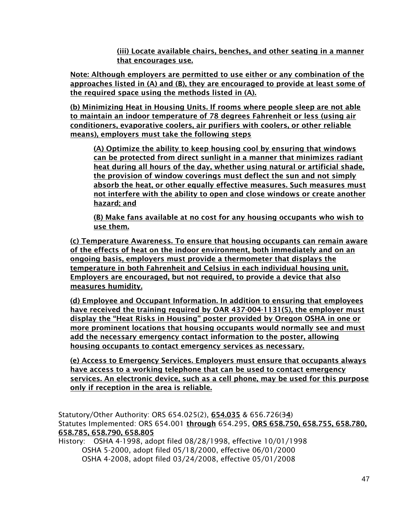(iii) Locate available chairs, benches, and other seating in a manner that encourages use.

Note: Although employers are permitted to use either or any combination of the approaches listed in (A) and (B), they are encouraged to provide at least some of the required space using the methods listed in (A).

(b) Minimizing Heat in Housing Units. If rooms where people sleep are not able to maintain an indoor temperature of 78 degrees Fahrenheit or less (using air conditioners, evaporative coolers, air purifiers with coolers, or other reliable means), employers must take the following steps

(A) Optimize the ability to keep housing cool by ensuring that windows can be protected from direct sunlight in a manner that minimizes radiant heat during all hours of the day, whether using natural or artificial shade, the provision of window coverings must deflect the sun and not simply absorb the heat, or other equally effective measures. Such measures must not interfere with the ability to open and close windows or create another hazard; and

(B) Make fans available at no cost for any housing occupants who wish to use them.

(c) Temperature Awareness. To ensure that housing occupants can remain aware of the effects of heat on the indoor environment, both immediately and on an ongoing basis, employers must provide a thermometer that displays the temperature in both Fahrenheit and Celsius in each individual housing unit. Employers are encouraged, but not required, to provide a device that also measures humidity.

(d) Employee and Occupant Information. In addition to ensuring that employees have received the training required by OAR 437-004-1131(5), the employer must display the "Heat Risks in Housing" poster provided by Oregon OSHA in one or more prominent locations that housing occupants would normally see and must add the necessary emergency contact information to the poster, allowing housing occupants to contact emergency services as necessary.

(e) Access to Emergency Services. Employers must ensure that occupants always have access to a working telephone that can be used to contact emergency services. An electronic device, such as a cell phone, may be used for this purpose only if reception in the area is reliable.

Statutory/Other Authority: ORS 654.025(2), 654.035 & 656.726(34) Statutes Implemented: ORS 654.001 through 654.295, ORS 658.750, 658.755, 658.780, 658.785, 658.790, 658.805

History: OSHA 4-1998, adopt filed 08/28/1998, effective 10/01/1998 OSHA 5-2000, adopt filed 05/18/2000, effective 06/01/2000 OSHA 4-2008, adopt filed 03/24/2008, effective 05/01/2008